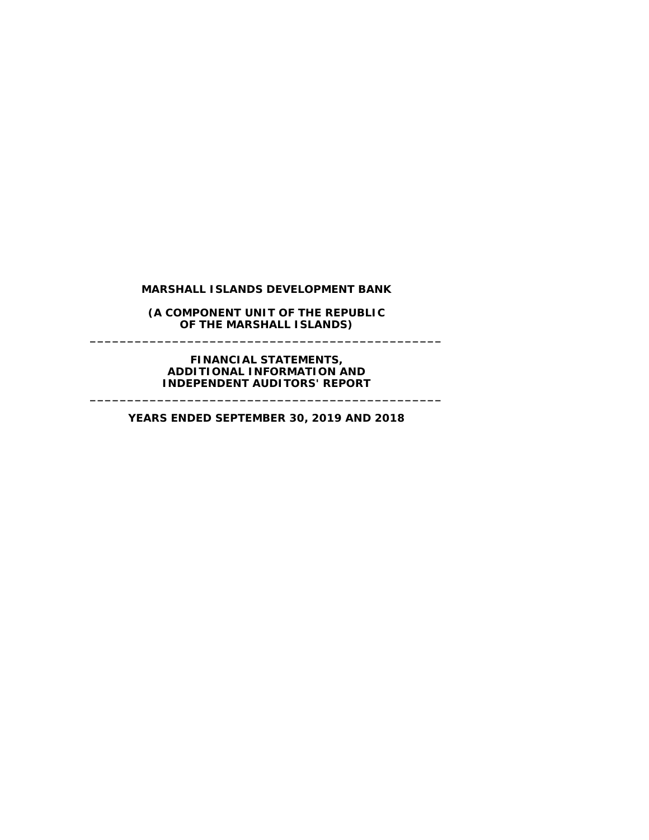#### **MARSHALL ISLANDS DEVELOPMENT BANK**

**(A COMPONENT UNIT OF THE REPUBLIC OF THE MARSHALL ISLANDS) \_\_\_\_\_\_\_\_\_\_\_\_\_\_\_\_\_\_\_\_\_\_\_\_\_\_\_\_\_\_\_\_\_\_\_\_\_\_\_\_\_\_\_\_\_\_\_**

> **FINANCIAL STATEMENTS, ADDITIONAL INFORMATION AND INDEPENDENT AUDITORS' REPORT**

**YEARS ENDED SEPTEMBER 30, 2019 AND 2018**

**\_\_\_\_\_\_\_\_\_\_\_\_\_\_\_\_\_\_\_\_\_\_\_\_\_\_\_\_\_\_\_\_\_\_\_\_\_\_\_\_\_\_\_\_\_\_\_**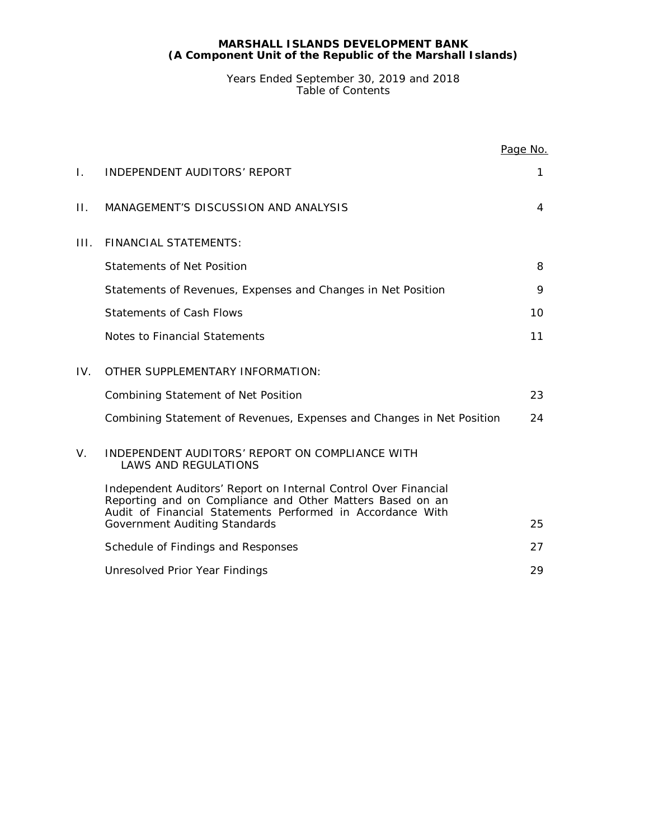#### Years Ended September 30, 2019 and 2018 Table of Contents

|      |                                                                                                                                                                                                                                    | Page No. |
|------|------------------------------------------------------------------------------------------------------------------------------------------------------------------------------------------------------------------------------------|----------|
| Ι.   | INDEPENDENT AUDITORS' REPORT                                                                                                                                                                                                       | 1        |
| Н.   | MANAGEMENT'S DISCUSSION AND ANALYSIS                                                                                                                                                                                               | 4        |
| III. | <b>FINANCIAL STATEMENTS:</b>                                                                                                                                                                                                       |          |
|      | <b>Statements of Net Position</b>                                                                                                                                                                                                  | 8        |
|      | Statements of Revenues, Expenses and Changes in Net Position                                                                                                                                                                       | 9        |
|      | <b>Statements of Cash Flows</b>                                                                                                                                                                                                    | 10       |
|      | Notes to Financial Statements                                                                                                                                                                                                      | 11       |
| IV.  | OTHER SUPPLEMENTARY INFORMATION:                                                                                                                                                                                                   |          |
|      | <b>Combining Statement of Net Position</b>                                                                                                                                                                                         | 23       |
|      | Combining Statement of Revenues, Expenses and Changes in Net Position                                                                                                                                                              | 24       |
| V.   | INDEPENDENT AUDITORS' REPORT ON COMPLIANCE WITH<br><b>LAWS AND REGULATIONS</b>                                                                                                                                                     |          |
|      | Independent Auditors' Report on Internal Control Over Financial<br>Reporting and on Compliance and Other Matters Based on an<br>Audit of Financial Statements Performed in Accordance With<br><b>Government Auditing Standards</b> | 25       |
|      | Schedule of Findings and Responses                                                                                                                                                                                                 | 27       |
|      | Unresolved Prior Year Findings                                                                                                                                                                                                     | 29       |
|      |                                                                                                                                                                                                                                    |          |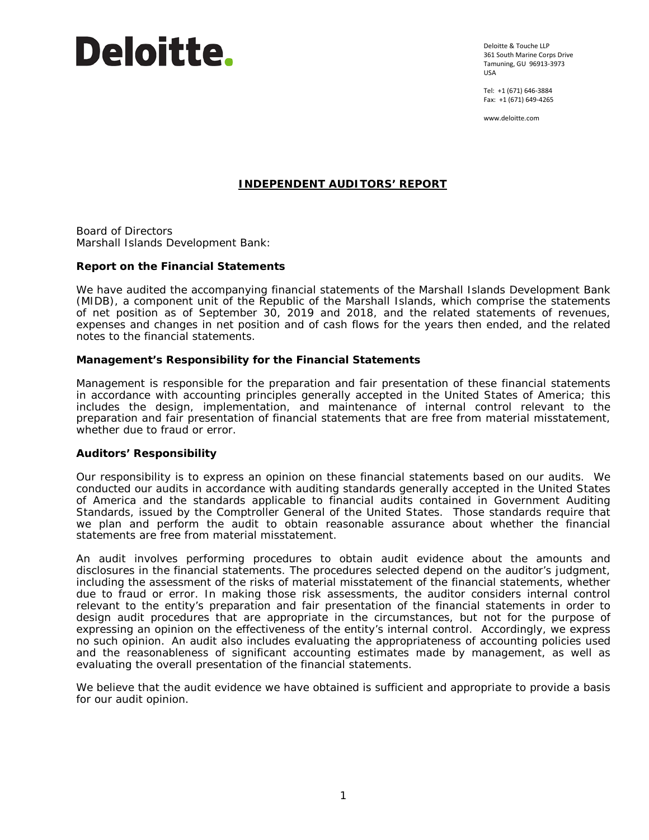

Deloitte & Touche LLP 361 South Marine Corps Drive Tamuning, GU 96913-3973 USA

Tel: +1 (671) 646-3884 Fax: +1 (671) 649-4265

www.deloitte.com

#### **INDEPENDENT AUDITORS' REPORT**

Board of Directors Marshall Islands Development Bank:

#### **Report on the Financial Statements**

We have audited the accompanying financial statements of the Marshall Islands Development Bank (MIDB), a component unit of the Republic of the Marshall Islands, which comprise the statements of net position as of September 30, 2019 and 2018, and the related statements of revenues, expenses and changes in net position and of cash flows for the years then ended, and the related notes to the financial statements.

#### *Management's Responsibility for the Financial Statements*

Management is responsible for the preparation and fair presentation of these financial statements in accordance with accounting principles generally accepted in the United States of America; this includes the design, implementation, and maintenance of internal control relevant to the preparation and fair presentation of financial statements that are free from material misstatement, whether due to fraud or error.

#### *Auditors' Responsibility*

Our responsibility is to express an opinion on these financial statements based on our audits. We conducted our audits in accordance with auditing standards generally accepted in the United States of America and the standards applicable to financial audits contained in *Government Auditing Standards,* issued by the Comptroller General of the United States. Those standards require that we plan and perform the audit to obtain reasonable assurance about whether the financial statements are free from material misstatement.

An audit involves performing procedures to obtain audit evidence about the amounts and disclosures in the financial statements. The procedures selected depend on the auditor's judgment, including the assessment of the risks of material misstatement of the financial statements, whether due to fraud or error. In making those risk assessments, the auditor considers internal control relevant to the entity's preparation and fair presentation of the financial statements in order to design audit procedures that are appropriate in the circumstances, but not for the purpose of expressing an opinion on the effectiveness of the entity's internal control. Accordingly, we express no such opinion. An audit also includes evaluating the appropriateness of accounting policies used and the reasonableness of significant accounting estimates made by management, as well as evaluating the overall presentation of the financial statements.

We believe that the audit evidence we have obtained is sufficient and appropriate to provide a basis for our audit opinion.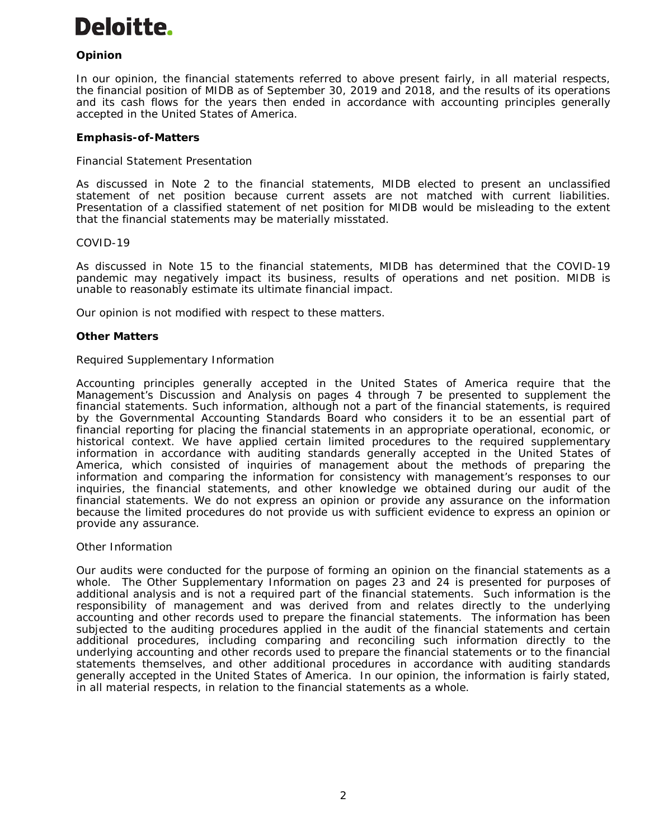## Deloitte.

#### *Opinion*

In our opinion, the financial statements referred to above present fairly, in all material respects, the financial position of MIDB as of September 30, 2019 and 2018, and the results of its operations and its cash flows for the years then ended in accordance with accounting principles generally accepted in the United States of America.

#### *Emphasis-of-Matters*

#### *Financial Statement Presentation*

As discussed in Note 2 to the financial statements, MIDB elected to present an unclassified statement of net position because current assets are not matched with current liabilities. Presentation of a classified statement of net position for MIDB would be misleading to the extent that the financial statements may be materially misstated.

#### *COVID-19*

As discussed in Note 15 to the financial statements, MIDB has determined that the COVID-19 pandemic may negatively impact its business, results of operations and net position. MIDB is unable to reasonably estimate its ultimate financial impact.

Our opinion is not modified with respect to these matters.

#### *Other Matters*

#### *Required Supplementary Information*

Accounting principles generally accepted in the United States of America require that the Management's Discussion and Analysis on pages 4 through 7 be presented to supplement the financial statements. Such information, although not a part of the financial statements, is required by the Governmental Accounting Standards Board who considers it to be an essential part of financial reporting for placing the financial statements in an appropriate operational, economic, or historical context. We have applied certain limited procedures to the required supplementary information in accordance with auditing standards generally accepted in the United States of America, which consisted of inquiries of management about the methods of preparing the information and comparing the information for consistency with management's responses to our inquiries, the financial statements, and other knowledge we obtained during our audit of the financial statements. We do not express an opinion or provide any assurance on the information because the limited procedures do not provide us with sufficient evidence to express an opinion or provide any assurance.

#### *Other Information*

Our audits were conducted for the purpose of forming an opinion on the financial statements as a whole. The Other Supplementary Information on pages 23 and 24 is presented for purposes of additional analysis and is not a required part of the financial statements. Such information is the responsibility of management and was derived from and relates directly to the underlying accounting and other records used to prepare the financial statements. The information has been subjected to the auditing procedures applied in the audit of the financial statements and certain additional procedures, including comparing and reconciling such information directly to the underlying accounting and other records used to prepare the financial statements or to the financial statements themselves, and other additional procedures in accordance with auditing standards generally accepted in the United States of America. In our opinion, the information is fairly stated, in all material respects, in relation to the financial statements as a whole.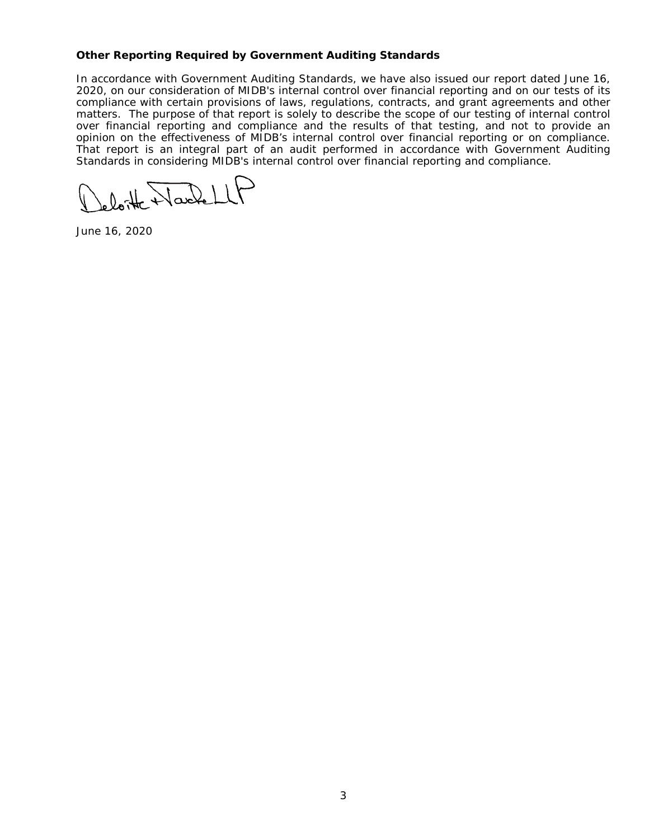#### **Other Reporting Required by** *Government Auditing Standards*

In accordance with *Government Auditing Standards*, we have also issued our report dated June 16, 2020, on our consideration of MIDB's internal control over financial reporting and on our tests of its compliance with certain provisions of laws, regulations, contracts, and grant agreements and other matters. The purpose of that report is solely to describe the scope of our testing of internal control over financial reporting and compliance and the results of that testing, and not to provide an opinion on the effectiveness of MIDB's internal control over financial reporting or on compliance. That report is an integral part of an audit performed in accordance with *Government Auditing Standards* in considering MIDB's internal control over financial reporting and compliance.

lotte Wackell

June 16, 2020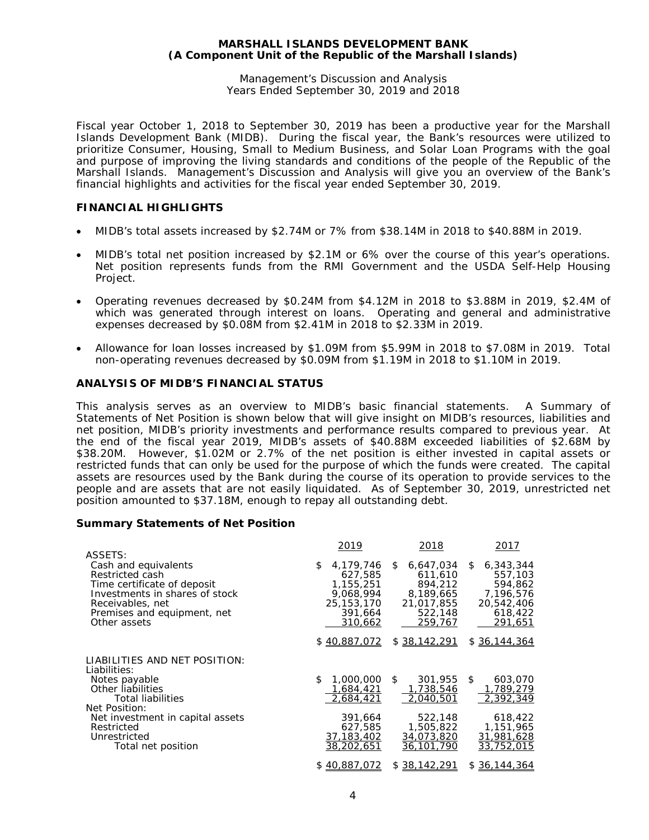Management's Discussion and Analysis Years Ended September 30, 2019 and 2018

Fiscal year October 1, 2018 to September 30, 2019 has been a productive year for the Marshall Islands Development Bank (MIDB). During the fiscal year, the Bank's resources were utilized to prioritize Consumer, Housing, Small to Medium Business, and Solar Loan Programs with the goal and purpose of improving the living standards and conditions of the people of the Republic of the Marshall Islands. Management's Discussion and Analysis will give you an overview of the Bank's financial highlights and activities for the fiscal year ended September 30, 2019.

#### **FINANCIAL HIGHLIGHTS**

- MIDB's total assets increased by \$2.74M or 7% from \$38.14M in 2018 to \$40.88M in 2019.
- MIDB's total net position increased by \$2.1M or 6% over the course of this year's operations. Net position represents funds from the RMI Government and the USDA Self-Help Housing Project.
- Operating revenues decreased by \$0.24M from \$4.12M in 2018 to \$3.88M in 2019, \$2.4M of which was generated through interest on loans. Operating and general and administrative expenses decreased by \$0.08M from \$2.41M in 2018 to \$2.33M in 2019.
- Allowance for loan losses increased by \$1.09M from \$5.99M in 2018 to \$7.08M in 2019. Total non-operating revenues decreased by \$0.09M from \$1.19M in 2018 to \$1.10M in 2019.

#### **ANALYSIS OF MIDB'S FINANCIAL STATUS**

This analysis serves as an overview to MIDB's basic financial statements. A Summary of Statements of Net Position is shown below that will give insight on MIDB's resources, liabilities and net position, MIDB's priority investments and performance results compared to previous year. At the end of the fiscal year 2019, MIDB's assets of \$40.88M exceeded liabilities of \$2.68M by \$38.20M. However, \$1.02M or 2.7% of the net position is either invested in capital assets or restricted funds that can only be used for the purpose of which the funds were created. The capital assets are resources used by the Bank during the course of its operation to provide services to the people and are assets that are not easily liquidated. As of September 30, 2019, unrestricted net position amounted to \$37.18M, enough to repay all outstanding debt.

#### **Summary Statements of Net Position**

|                                                                                                                                                                                        | 2019                                                                                       | 2018                                                                                   | 2017                                                                                   |
|----------------------------------------------------------------------------------------------------------------------------------------------------------------------------------------|--------------------------------------------------------------------------------------------|----------------------------------------------------------------------------------------|----------------------------------------------------------------------------------------|
| ASSETS:<br>Cash and equivalents<br>Restricted cash<br>Time certificate of deposit<br>Investments in shares of stock<br>Receivables, net<br>Premises and equipment, net<br>Other assets | 4,179,746<br>\$<br>627,585<br>1,155,251<br>9,068,994<br>25, 153, 170<br>391,664<br>310,662 | 6,647,034<br>\$<br>611,610<br>894,212<br>8,189,665<br>21,017,855<br>522,148<br>259,767 | 6,343,344<br>S.<br>557,103<br>594,862<br>7,196,576<br>20,542,406<br>618,422<br>291,651 |
|                                                                                                                                                                                        | \$40,887,072                                                                               | \$38,142,291                                                                           | \$36,144,364                                                                           |
| LIABILITIES AND NET POSITION:<br>Liabilities:<br>Notes payable<br>Other liabilities<br><b>Total liabilities</b><br>Net Position:                                                       | 1,000,000<br>\$<br>1,684,421<br>2,684,421                                                  | 301,955<br>\$<br>1,738,546<br>2,040,501                                                | 603,070<br>\$<br>1,789,279<br>2,392,349                                                |
| Net investment in capital assets<br>Restricted<br>Unrestricted<br>Total net position                                                                                                   | 391,664<br>627,585<br>37, 183, 402<br>38,202,651                                           | 522,148<br>1,505,822<br>34,073,820<br>36,101,790                                       | 618,422<br>1,151,965<br>31,981,628<br>33,752,015                                       |
|                                                                                                                                                                                        | \$40,887,072                                                                               | \$38,142,291                                                                           | \$36,144,364                                                                           |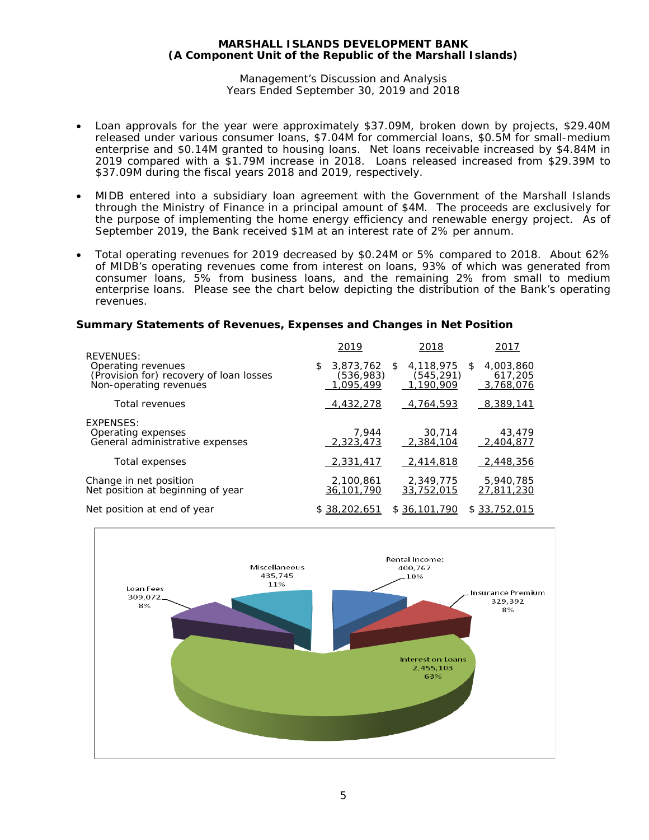#### Management's Discussion and Analysis Years Ended September 30, 2019 and 2018

- Loan approvals for the year were approximately \$37.09M, broken down by projects, \$29.40M released under various consumer loans, \$7.04M for commercial loans, \$0.5M for small-medium enterprise and \$0.14M granted to housing loans. Net loans receivable increased by \$4.84M in 2019 compared with a \$1.79M increase in 2018. Loans released increased from \$29.39M to \$37.09M during the fiscal years 2018 and 2019, respectively.
- MIDB entered into a subsidiary loan agreement with the Government of the Marshall Islands through the Ministry of Finance in a principal amount of \$4M. The proceeds are exclusively for the purpose of implementing the home energy efficiency and renewable energy project. As of September 2019, the Bank received \$1M at an interest rate of 2% per annum.
- Total operating revenues for 2019 decreased by \$0.24M or 5% compared to 2018. About 62% of MIDB's operating revenues come from interest on loans, 93% of which was generated from consumer loans, 5% from business loans, and the remaining 2% from small to medium enterprise loans. Please see the chart below depicting the distribution of the Bank's operating revenues.

#### **Summary Statements of Revenues, Expenses and Changes in Net Position**

| <b>REVENUES:</b>                                                                        | 2019                                         | 2018                                 | 2017                                     |
|-----------------------------------------------------------------------------------------|----------------------------------------------|--------------------------------------|------------------------------------------|
| Operating revenues<br>(Provision for) recovery of loan losses<br>Non-operating revenues | 3,873,762 \$<br>\$<br>(536,983)<br>1,095,499 | 4,118,975<br>(545, 291)<br>1,190,909 | 4,003,860<br>\$.<br>617.205<br>3,768,076 |
| Total revenues                                                                          | 4,432,278                                    | 4,764,593                            | 8,389,141                                |
| EXPENSES:<br>Operating expenses<br>General administrative expenses                      | 7.944<br>2,323,473                           | 30.714<br>2,384,104                  | 43,479<br>2,404,877                      |
| Total expenses                                                                          | 2,331,417                                    | 2,414,818                            | 2,448,356                                |
| Change in net position<br>Net position at beginning of year                             | 2,100,861<br>36,101,790                      | 2,349,775<br>33,752,015              | 5,940,785<br>27,811,230                  |
| Net position at end of year                                                             | \$38,202,651                                 | 790<br>S<br>36.                      | \$33,752,015                             |

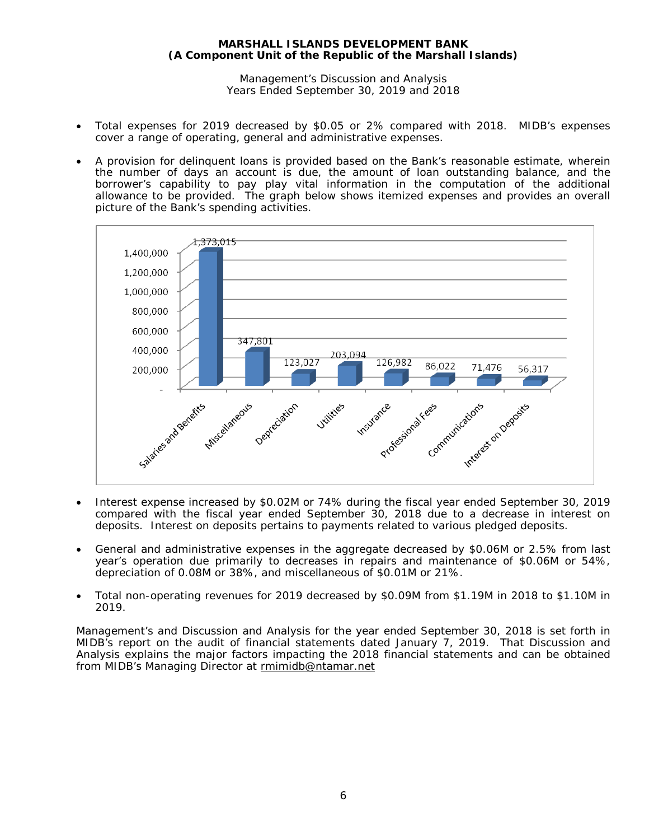Management's Discussion and Analysis Years Ended September 30, 2019 and 2018

- Total expenses for 2019 decreased by \$0.05 or 2% compared with 2018. MIDB's expenses cover a range of operating, general and administrative expenses.
- A provision for delinquent loans is provided based on the Bank's reasonable estimate, wherein the number of days an account is due, the amount of loan outstanding balance, and the borrower's capability to pay play vital information in the computation of the additional allowance to be provided. The graph below shows itemized expenses and provides an overall picture of the Bank's spending activities.



- Interest expense increased by \$0.02M or 74% during the fiscal year ended September 30, 2019 compared with the fiscal year ended September 30, 2018 due to a decrease in interest on deposits. Interest on deposits pertains to payments related to various pledged deposits.
- General and administrative expenses in the aggregate decreased by \$0.06M or 2.5% from last year's operation due primarily to decreases in repairs and maintenance of \$0.06M or 54%, depreciation of 0.08M or 38%, and miscellaneous of \$0.01M or 21%.
- Total non-operating revenues for 2019 decreased by \$0.09M from \$1.19M in 2018 to \$1.10M in 2019.

Management's and Discussion and Analysis for the year ended September 30, 2018 is set forth in MIDB's report on the audit of financial statements dated January 7, 2019. That Discussion and Analysis explains the major factors impacting the 2018 financial statements and can be obtained from MIDB's Managing Director at [rmimidb@ntamar.net](mailto:rmimidb@ntamar.net)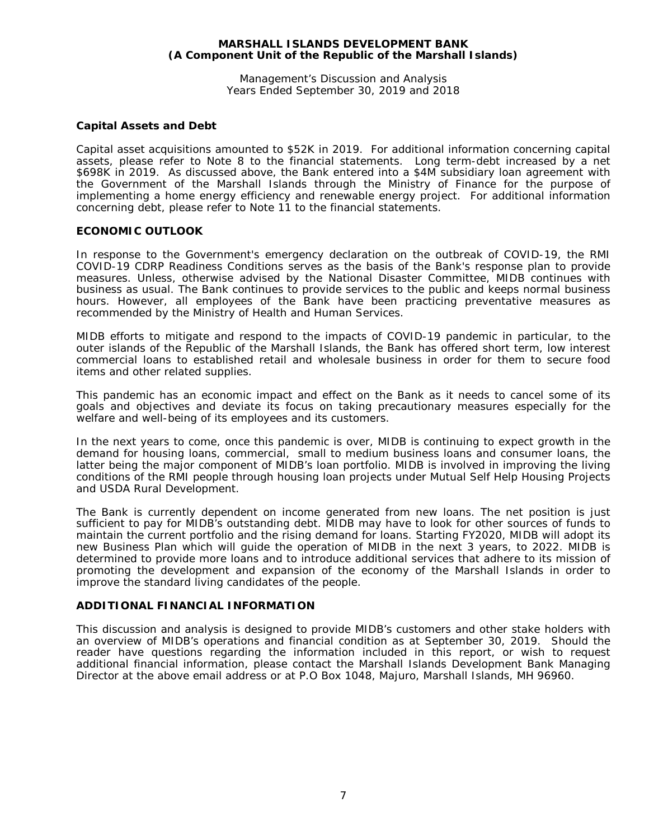Management's Discussion and Analysis Years Ended September 30, 2019 and 2018

#### **Capital Assets and Debt**

Capital asset acquisitions amounted to \$52K in 2019. For additional information concerning capital assets, please refer to Note 8 to the financial statements. Long term-debt increased by a net \$698K in 2019. As discussed above, the Bank entered into a \$4M subsidiary loan agreement with the Government of the Marshall Islands through the Ministry of Finance for the purpose of implementing a home energy efficiency and renewable energy project. For additional information concerning debt, please refer to Note 11 to the financial statements.

#### **ECONOMIC OUTLOOK**

In response to the Government's emergency declaration on the outbreak of COVID-19, the RMI COVID-19 CDRP Readiness Conditions serves as the basis of the Bank's response plan to provide measures. Unless, otherwise advised by the National Disaster Committee, MIDB continues with business as usual. The Bank continues to provide services to the public and keeps normal business hours. However, all employees of the Bank have been practicing preventative measures as recommended by the Ministry of Health and Human Services.

MIDB efforts to mitigate and respond to the impacts of COVID-19 pandemic in particular, to the outer islands of the Republic of the Marshall Islands, the Bank has offered short term, low interest commercial loans to established retail and wholesale business in order for them to secure food items and other related supplies.

This pandemic has an economic impact and effect on the Bank as it needs to cancel some of its goals and objectives and deviate its focus on taking precautionary measures especially for the welfare and well-being of its employees and its customers.

In the next years to come, once this pandemic is over, MIDB is continuing to expect growth in the demand for housing loans, commercial, small to medium business loans and consumer loans, the latter being the major component of MIDB's loan portfolio. MIDB is involved in improving the living conditions of the RMI people through housing loan projects under Mutual Self Help Housing Projects and USDA Rural Development.

The Bank is currently dependent on income generated from new loans. The net position is just sufficient to pay for MIDB's outstanding debt. MIDB may have to look for other sources of funds to maintain the current portfolio and the rising demand for loans. Starting FY2020, MIDB will adopt its new Business Plan which will guide the operation of MIDB in the next 3 years, to 2022. MIDB is determined to provide more loans and to introduce additional services that adhere to its mission of promoting the development and expansion of the economy of the Marshall Islands in order to improve the standard living candidates of the people.

#### **ADDITIONAL FINANCIAL INFORMATION**

This discussion and analysis is designed to provide MIDB's customers and other stake holders with an overview of MIDB's operations and financial condition as at September 30, 2019. Should the reader have questions regarding the information included in this report, or wish to request additional financial information, please contact the Marshall Islands Development Bank Managing Director at the above email address or at P.O Box 1048, Majuro, Marshall Islands, MH 96960.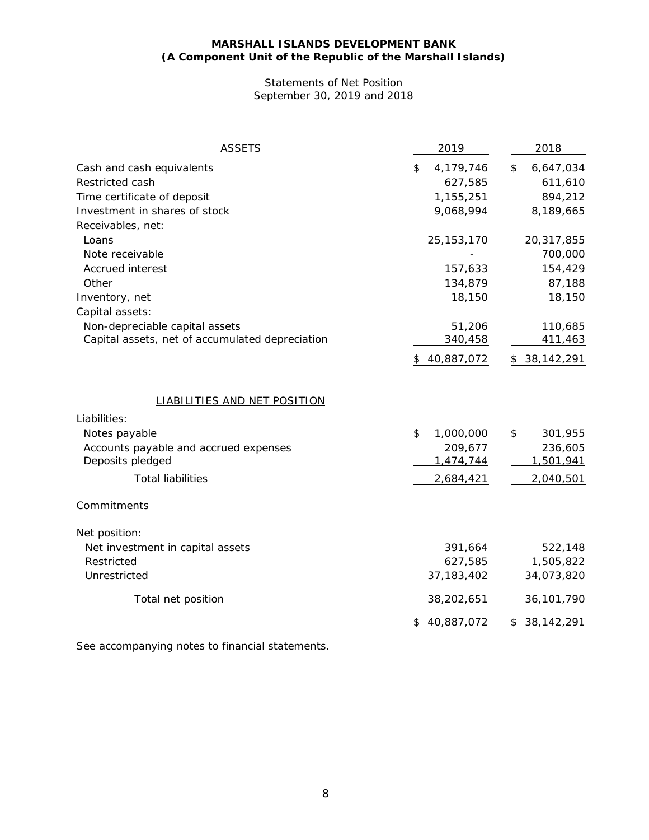Statements of Net Position September 30, 2019 and 2018

| <b>ASSETS</b>                                   | 2019             | 2018               |
|-------------------------------------------------|------------------|--------------------|
| Cash and cash equivalents                       | \$<br>4,179,746  | \$<br>6,647,034    |
| Restricted cash                                 | 627,585          | 611,610            |
| Time certificate of deposit                     | 1,155,251        | 894,212            |
| Investment in shares of stock                   | 9,068,994        | 8,189,665          |
| Receivables, net:                               |                  |                    |
| Loans                                           | 25, 153, 170     | 20,317,855         |
| Note receivable                                 |                  | 700,000            |
| <b>Accrued interest</b>                         | 157,633          | 154,429            |
| Other                                           | 134,879          | 87,188             |
| Inventory, net                                  | 18,150           | 18,150             |
| Capital assets:                                 |                  |                    |
| Non-depreciable capital assets                  | 51,206           | 110,685            |
| Capital assets, net of accumulated depreciation | 340,458          | 411,463            |
|                                                 | 40,887,072<br>\$ | 38,142,291<br>\$   |
| <b>LIABILITIES AND NET POSITION</b>             |                  |                    |
| Liabilities:                                    |                  |                    |
| Notes payable                                   | \$<br>1,000,000  | \$<br>301,955      |
| Accounts payable and accrued expenses           | 209,677          | 236,605            |
| Deposits pledged                                | 1,474,744        | 1,501,941          |
| <b>Total liabilities</b>                        | 2,684,421        | 2,040,501          |
| Commitments                                     |                  |                    |
| Net position:                                   |                  |                    |
| Net investment in capital assets                | 391,664          | 522,148            |
| Restricted                                      | 627,585          | 1,505,822          |
| Unrestricted                                    | 37, 183, 402     | 34,073,820         |
| Total net position                              | 38,202,651       | 36,101,790         |
|                                                 | 40,887,072       | 38, 142, 291<br>\$ |

See accompanying notes to financial statements.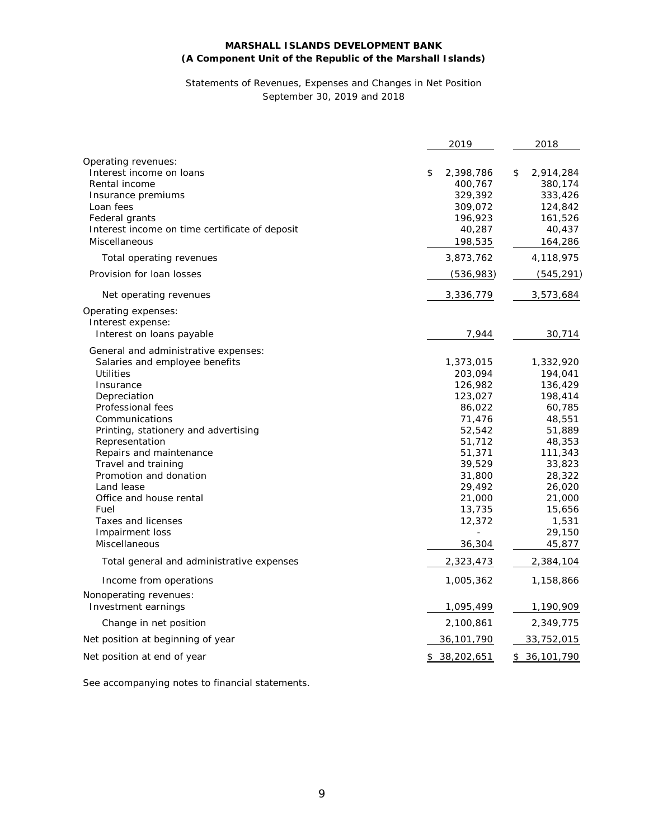#### Statements of Revenues, Expenses and Changes in Net Position September 30, 2019 and 2018

|                                                                                                                                                                                                                                                                                                                                                                                                          | 2019                                                                                                                                                               | 2018                                                                                                                                                                         |
|----------------------------------------------------------------------------------------------------------------------------------------------------------------------------------------------------------------------------------------------------------------------------------------------------------------------------------------------------------------------------------------------------------|--------------------------------------------------------------------------------------------------------------------------------------------------------------------|------------------------------------------------------------------------------------------------------------------------------------------------------------------------------|
| Operating revenues:<br>Interest income on loans<br>Rental income<br>Insurance premiums<br>Loan fees<br>Federal grants<br>Interest income on time certificate of deposit<br><b>Miscellaneous</b>                                                                                                                                                                                                          | \$<br>2,398,786<br>400,767<br>329,392<br>309,072<br>196,923<br>40,287<br>198,535                                                                                   | \$<br>2,914,284<br>380,174<br>333,426<br>124,842<br>161,526<br>40,437<br>164,286                                                                                             |
| Total operating revenues                                                                                                                                                                                                                                                                                                                                                                                 | 3,873,762                                                                                                                                                          | 4,118,975                                                                                                                                                                    |
| Provision for loan losses                                                                                                                                                                                                                                                                                                                                                                                | (536, 983)                                                                                                                                                         | (545, 291)                                                                                                                                                                   |
| Net operating revenues                                                                                                                                                                                                                                                                                                                                                                                   | 3,336,779                                                                                                                                                          | 3,573,684                                                                                                                                                                    |
| Operating expenses:<br>Interest expense:<br>Interest on loans payable                                                                                                                                                                                                                                                                                                                                    | 7,944                                                                                                                                                              | 30,714                                                                                                                                                                       |
| General and administrative expenses:<br>Salaries and employee benefits<br>Utilities<br>Insurance<br>Depreciation<br>Professional fees<br>Communications<br>Printing, stationery and advertising<br>Representation<br>Repairs and maintenance<br>Travel and training<br>Promotion and donation<br>Land lease<br>Office and house rental<br>Fuel<br>Taxes and licenses<br>Impairment loss<br>Miscellaneous | 1,373,015<br>203,094<br>126,982<br>123,027<br>86,022<br>71,476<br>52,542<br>51,712<br>51,371<br>39,529<br>31,800<br>29,492<br>21,000<br>13,735<br>12,372<br>36,304 | 1,332,920<br>194,041<br>136,429<br>198,414<br>60,785<br>48,551<br>51,889<br>48,353<br>111,343<br>33,823<br>28,322<br>26,020<br>21,000<br>15,656<br>1,531<br>29,150<br>45,877 |
| Total general and administrative expenses                                                                                                                                                                                                                                                                                                                                                                | 2,323,473                                                                                                                                                          | 2,384,104                                                                                                                                                                    |
| Income from operations<br>Nonoperating revenues:<br>Investment earnings                                                                                                                                                                                                                                                                                                                                  | 1,005,362<br>1,095,499                                                                                                                                             | 1,158,866<br>1,190,909                                                                                                                                                       |
| Change in net position                                                                                                                                                                                                                                                                                                                                                                                   | 2,100,861                                                                                                                                                          | 2,349,775                                                                                                                                                                    |
| Net position at beginning of year                                                                                                                                                                                                                                                                                                                                                                        | 36,101,790                                                                                                                                                         | 33,752,015                                                                                                                                                                   |
| Net position at end of year                                                                                                                                                                                                                                                                                                                                                                              | 38,202,651<br>\$                                                                                                                                                   | \$ 36,101,790                                                                                                                                                                |

See accompanying notes to financial statements.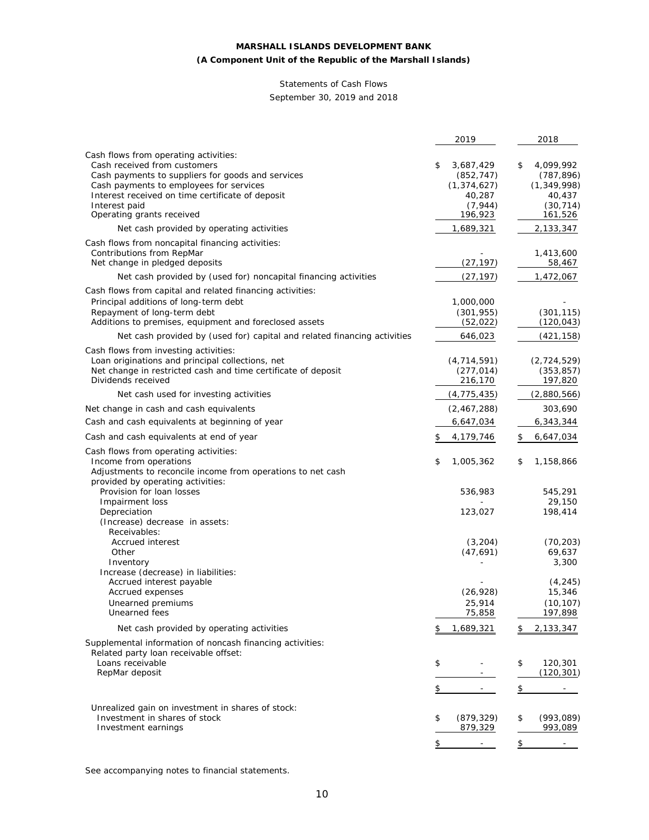#### **MARSHALL ISLANDS DEVELOPMENT BANK**

#### **(A Component Unit of the Republic of the Marshall Islands)**

#### Statements of Cash Flows

September 30, 2019 and 2018

|                                                                                                                                                                                                                                                                         | 2019                                                                            | 2018                                                                             |
|-------------------------------------------------------------------------------------------------------------------------------------------------------------------------------------------------------------------------------------------------------------------------|---------------------------------------------------------------------------------|----------------------------------------------------------------------------------|
| Cash flows from operating activities:<br>Cash received from customers<br>Cash payments to suppliers for goods and services<br>Cash payments to employees for services<br>Interest received on time certificate of deposit<br>Interest paid<br>Operating grants received | \$<br>3,687,429<br>(852, 747)<br>(1, 374, 627)<br>40,287<br>(7, 944)<br>196,923 | \$<br>4,099,992<br>(787, 896)<br>(1, 349, 998)<br>40,437<br>(30, 714)<br>161,526 |
| Net cash provided by operating activities                                                                                                                                                                                                                               | 1,689,321                                                                       | 2,133,347                                                                        |
| Cash flows from noncapital financing activities:<br>Contributions from RepMar<br>Net change in pledged deposits                                                                                                                                                         | (27, 197)                                                                       | 1,413,600<br>58,467                                                              |
| Net cash provided by (used for) noncapital financing activities                                                                                                                                                                                                         | (27, 197)                                                                       | 1,472,067                                                                        |
| Cash flows from capital and related financing activities:<br>Principal additions of long-term debt<br>Repayment of long-term debt<br>Additions to premises, equipment and foreclosed assets                                                                             | 1,000,000<br>(301, 955)<br>(52, 022)                                            | (301, 115)<br>(120, 043)                                                         |
| Net cash provided by (used for) capital and related financing activities                                                                                                                                                                                                | 646,023                                                                         | (421, 158)                                                                       |
| Cash flows from investing activities:<br>Loan originations and principal collections, net<br>Net change in restricted cash and time certificate of deposit<br>Dividends received                                                                                        | (4, 714, 591)<br>(277, 014)<br>216,170                                          | (2,724,529)<br>(353, 857)<br>197,820                                             |
| Net cash used for investing activities                                                                                                                                                                                                                                  | (4, 775, 435)                                                                   | (2,880,566)                                                                      |
| Net change in cash and cash equivalents                                                                                                                                                                                                                                 | (2,467,288)                                                                     | 303,690                                                                          |
| Cash and cash equivalents at beginning of year                                                                                                                                                                                                                          | 6,647,034                                                                       | 6,343,344                                                                        |
| Cash and cash equivalents at end of year                                                                                                                                                                                                                                | 4,179,746<br>\$                                                                 | 6,647,034<br>\$                                                                  |
| Cash flows from operating activities:<br>Income from operations<br>Adjustments to reconcile income from operations to net cash<br>provided by operating activities:                                                                                                     | \$<br>1,005,362                                                                 | \$<br>1,158,866                                                                  |
| Provision for loan losses<br>Impairment loss<br>Depreciation<br>(Increase) decrease in assets:                                                                                                                                                                          | 536,983<br>123,027                                                              | 545,291<br>29,150<br>198,414                                                     |
| Receivables:<br>Accrued interest<br>Other<br>Inventory<br>Increase (decrease) in liabilities:                                                                                                                                                                           | (3,204)<br>(47, 691)                                                            | (70, 203)<br>69,637<br>3,300                                                     |
| Accrued interest payable<br>Accrued expenses<br>Unearned premiums<br>Unearned fees                                                                                                                                                                                      | (26, 928)<br>25,914<br><u>75,858</u>                                            | (4, 245)<br>15,346<br>(10, 107)<br><u> 197,898</u>                               |
| Net cash provided by operating activities                                                                                                                                                                                                                               | 1,689,321<br>\$                                                                 | 2,133,347<br>\$                                                                  |
| Supplemental information of noncash financing activities:<br>Related party loan receivable offset:                                                                                                                                                                      |                                                                                 |                                                                                  |
| Loans receivable<br>RepMar deposit                                                                                                                                                                                                                                      | \$                                                                              | \$<br>120,301<br>(120, 301)                                                      |
|                                                                                                                                                                                                                                                                         | \$                                                                              | \$                                                                               |
| Unrealized gain on investment in shares of stock:<br>Investment in shares of stock<br>Investment earnings                                                                                                                                                               | \$<br>(879, 329)<br>879,329                                                     | (993, 089)<br>\$<br>993,089                                                      |
|                                                                                                                                                                                                                                                                         | \$<br>$\overline{\phantom{a}}$                                                  | \$<br>$\overline{\phantom{a}}$                                                   |

See accompanying notes to financial statements.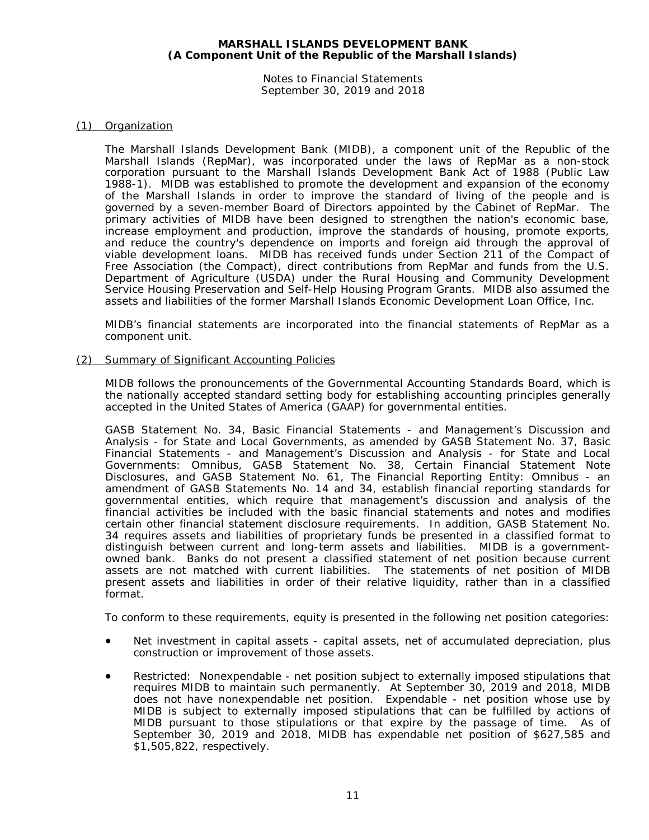Notes to Financial Statements September 30, 2019 and 2018

#### (1) Organization

The Marshall Islands Development Bank (MIDB), a component unit of the Republic of the Marshall Islands (RepMar), was incorporated under the laws of RepMar as a non-stock corporation pursuant to the Marshall Islands Development Bank Act of 1988 (Public Law 1988-1). MIDB was established to promote the development and expansion of the economy of the Marshall Islands in order to improve the standard of living of the people and is governed by a seven-member Board of Directors appointed by the Cabinet of RepMar. The primary activities of MIDB have been designed to strengthen the nation's economic base, increase employment and production, improve the standards of housing, promote exports, and reduce the country's dependence on imports and foreign aid through the approval of viable development loans. MIDB has received funds under Section 211 of the Compact of Free Association (the Compact), direct contributions from RepMar and funds from the U.S. Department of Agriculture (USDA) under the Rural Housing and Community Development Service Housing Preservation and Self-Help Housing Program Grants. MIDB also assumed the assets and liabilities of the former Marshall Islands Economic Development Loan Office, Inc.

MIDB's financial statements are incorporated into the financial statements of RepMar as a component unit.

#### (2) Summary of Significant Accounting Policies

MIDB follows the pronouncements of the Governmental Accounting Standards Board, which is the nationally accepted standard setting body for establishing accounting principles generally accepted in the United States of America (GAAP) for governmental entities.

GASB Statement No. 34, *Basic Financial Statements - and Management's Discussion and Analysis - for State and Local Governments*, as amended by GASB Statement No. 37, *Basic Financial Statements - and Management's Discussion and Analysis - for State and Local Governments: Omnibus*, GASB Statement No. 38, *Certain Financial Statement Note Disclosures*, and GASB Statement No. 61, *The Financial Reporting Entity: Omnibus - an amendment of GASB Statements No. 14 and 34*, establish financial reporting standards for governmental entities, which require that management's discussion and analysis of the financial activities be included with the basic financial statements and notes and modifies certain other financial statement disclosure requirements. In addition, GASB Statement No. 34 requires assets and liabilities of proprietary funds be presented in a classified format to distinguish between current and long-term assets and liabilities. MIDB is a governmentowned bank. Banks do not present a classified statement of net position because current assets are not matched with current liabilities. The statements of net position of MIDB present assets and liabilities in order of their relative liquidity, rather than in a classified format.

To conform to these requirements, equity is presented in the following net position categories:

- Net investment in capital assets capital assets, net of accumulated depreciation, plus construction or improvement of those assets.
- Restricted: Nonexpendable net position subject to externally imposed stipulations that requires MIDB to maintain such permanently. At September 30, 2019 and 2018, MIDB does not have nonexpendable net position. Expendable - net position whose use by MIDB is subject to externally imposed stipulations that can be fulfilled by actions of MIDB pursuant to those stipulations or that expire by the passage of time. As of September 30, 2019 and 2018, MIDB has expendable net position of \$627,585 and \$1,505,822, respectively.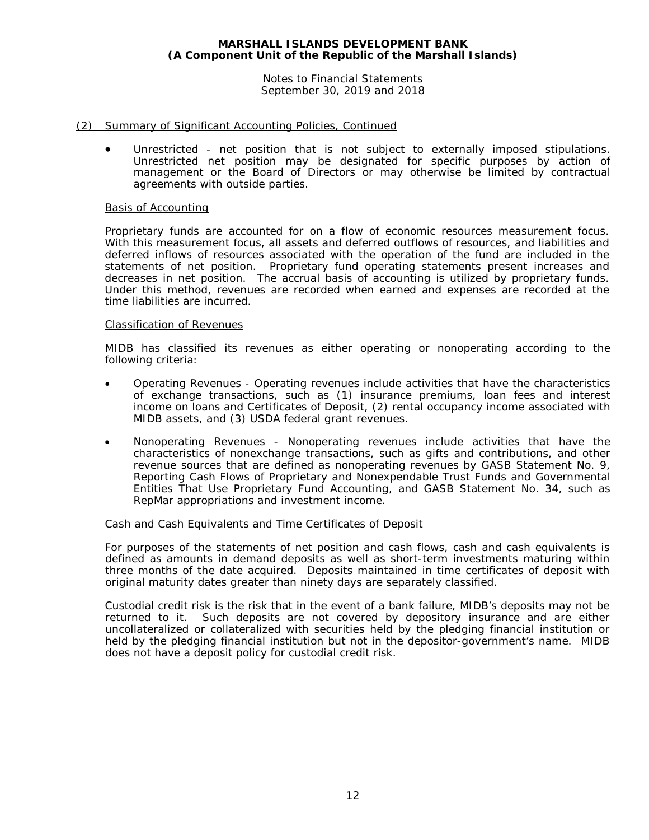Notes to Financial Statements September 30, 2019 and 2018

#### (2) Summary of Significant Accounting Policies, Continued

• Unrestricted - net position that is not subject to externally imposed stipulations. Unrestricted net position may be designated for specific purposes by action of management or the Board of Directors or may otherwise be limited by contractual agreements with outside parties.

#### Basis of Accounting

Proprietary funds are accounted for on a flow of economic resources measurement focus. With this measurement focus, all assets and deferred outflows of resources, and liabilities and deferred inflows of resources associated with the operation of the fund are included in the statements of net position. Proprietary fund operating statements present increases and decreases in net position. The accrual basis of accounting is utilized by proprietary funds. Under this method, revenues are recorded when earned and expenses are recorded at the time liabilities are incurred.

#### Classification of Revenues

MIDB has classified its revenues as either operating or nonoperating according to the following criteria:

- *Operating Revenues* Operating revenues include activities that have the characteristics of exchange transactions, such as (1) insurance premiums, loan fees and interest income on loans and Certificates of Deposit, (2) rental occupancy income associated with MIDB assets, and (3) USDA federal grant revenues.
- *Nonoperating Revenues* Nonoperating revenues include activities that have the characteristics of nonexchange transactions, such as gifts and contributions, and other revenue sources that are defined as nonoperating revenues by GASB Statement No. 9, *Reporting Cash Flows of Proprietary and Nonexpendable Trust Funds and Governmental Entities That Use Proprietary Fund Accounting*, and GASB Statement No. 34, such as RepMar appropriations and investment income.

#### Cash and Cash Equivalents and Time Certificates of Deposit

For purposes of the statements of net position and cash flows, cash and cash equivalents is defined as amounts in demand deposits as well as short-term investments maturing within three months of the date acquired. Deposits maintained in time certificates of deposit with original maturity dates greater than ninety days are separately classified.

Custodial credit risk is the risk that in the event of a bank failure, MIDB's deposits may not be returned to it. Such deposits are not covered by depository insurance and are either uncollateralized or collateralized with securities held by the pledging financial institution or held by the pledging financial institution but not in the depositor-government's name. MIDB does not have a deposit policy for custodial credit risk.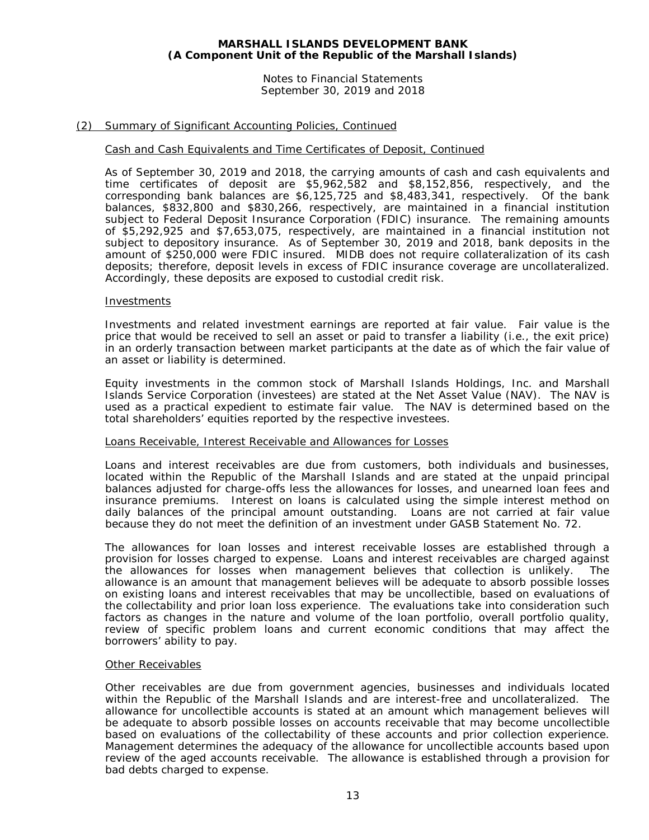Notes to Financial Statements September 30, 2019 and 2018

#### (2) Summary of Significant Accounting Policies, Continued

#### Cash and Cash Equivalents and Time Certificates of Deposit, Continued

As of September 30, 2019 and 2018, the carrying amounts of cash and cash equivalents and time certificates of deposit are \$5,962,582 and \$8,152,856, respectively, and the corresponding bank balances are \$6,125,725 and \$8,483,341, respectively. Of the bank balances, \$832,800 and \$830,266, respectively, are maintained in a financial institution subject to Federal Deposit Insurance Corporation (FDIC) insurance. The remaining amounts of \$5,292,925 and \$7,653,075, respectively, are maintained in a financial institution not subject to depository insurance. As of September 30, 2019 and 2018, bank deposits in the amount of \$250,000 were FDIC insured. MIDB does not require collateralization of its cash deposits; therefore, deposit levels in excess of FDIC insurance coverage are uncollateralized. Accordingly, these deposits are exposed to custodial credit risk.

#### Investments

Investments and related investment earnings are reported at fair value. Fair value is the price that would be received to sell an asset or paid to transfer a liability (i.e., the exit price) in an orderly transaction between market participants at the date as of which the fair value of an asset or liability is determined.

Equity investments in the common stock of Marshall Islands Holdings, Inc. and Marshall Islands Service Corporation (investees) are stated at the Net Asset Value (NAV). The NAV is used as a practical expedient to estimate fair value. The NAV is determined based on the total shareholders' equities reported by the respective investees.

#### Loans Receivable, Interest Receivable and Allowances for Losses

Loans and interest receivables are due from customers, both individuals and businesses, located within the Republic of the Marshall Islands and are stated at the unpaid principal balances adjusted for charge-offs less the allowances for losses, and unearned loan fees and insurance premiums. Interest on loans is calculated using the simple interest method on daily balances of the principal amount outstanding. Loans are not carried at fair value because they do not meet the definition of an investment under GASB Statement No. 72.

The allowances for loan losses and interest receivable losses are established through a provision for losses charged to expense. Loans and interest receivables are charged against the allowances for losses when management believes that collection is unlikely. The allowance is an amount that management believes will be adequate to absorb possible losses on existing loans and interest receivables that may be uncollectible, based on evaluations of the collectability and prior loan loss experience. The evaluations take into consideration such factors as changes in the nature and volume of the loan portfolio, overall portfolio quality, review of specific problem loans and current economic conditions that may affect the borrowers' ability to pay.

#### Other Receivables

Other receivables are due from government agencies, businesses and individuals located within the Republic of the Marshall Islands and are interest-free and uncollateralized. The allowance for uncollectible accounts is stated at an amount which management believes will be adequate to absorb possible losses on accounts receivable that may become uncollectible based on evaluations of the collectability of these accounts and prior collection experience. Management determines the adequacy of the allowance for uncollectible accounts based upon review of the aged accounts receivable. The allowance is established through a provision for bad debts charged to expense.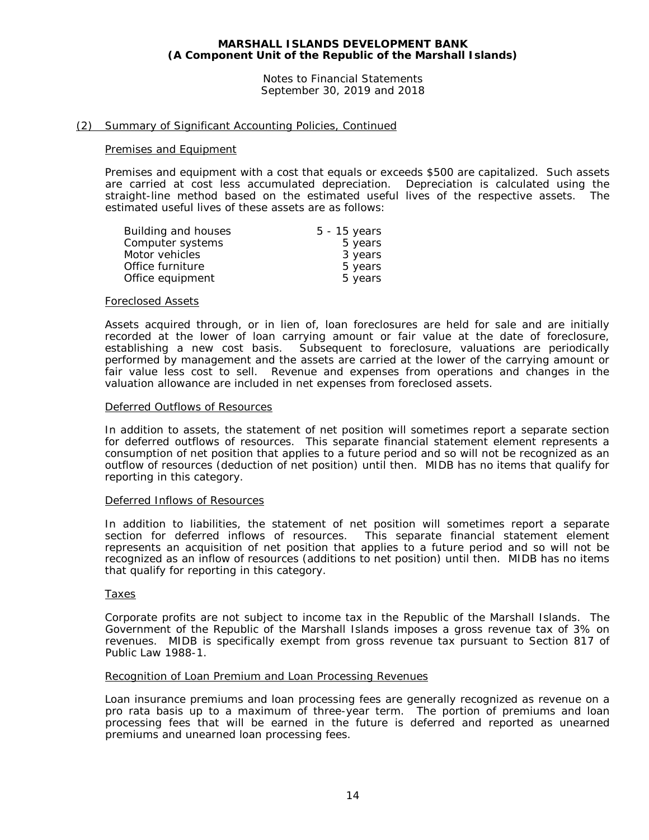Notes to Financial Statements September 30, 2019 and 2018

#### (2) Summary of Significant Accounting Policies, Continued

#### Premises and Equipment

Premises and equipment with a cost that equals or exceeds \$500 are capitalized. Such assets are carried at cost less accumulated depreciation. Depreciation is calculated using the straight-line method based on the estimated useful lives of the respective assets. The estimated useful lives of these assets are as follows:

| Building and houses | $5 - 15$ years |
|---------------------|----------------|
| Computer systems    | 5 years        |
| Motor vehicles      | 3 years        |
| Office furniture    | 5 years        |
| Office equipment    | 5 years        |

#### Foreclosed Assets

Assets acquired through, or in lien of, loan foreclosures are held for sale and are initially recorded at the lower of loan carrying amount or fair value at the date of foreclosure, establishing a new cost basis. Subsequent to foreclosure, valuations are periodically performed by management and the assets are carried at the lower of the carrying amount or fair value less cost to sell. Revenue and expenses from operations and changes in the valuation allowance are included in net expenses from foreclosed assets.

#### Deferred Outflows of Resources

In addition to assets, the statement of net position will sometimes report a separate section for deferred outflows of resources. This separate financial statement element represents a consumption of net position that applies to a future period and so will not be recognized as an outflow of resources (deduction of net position) until then. MIDB has no items that qualify for reporting in this category.

#### Deferred Inflows of Resources

In addition to liabilities, the statement of net position will sometimes report a separate section for deferred inflows of resources. This separate financial statement element represents an acquisition of net position that applies to a future period and so will not be recognized as an inflow of resources (additions to net position) until then. MIDB has no items that qualify for reporting in this category.

#### **Taxes**

Corporate profits are not subject to income tax in the Republic of the Marshall Islands. The Government of the Republic of the Marshall Islands imposes a gross revenue tax of 3% on revenues. MIDB is specifically exempt from gross revenue tax pursuant to Section 817 of Public Law 1988-1.

#### Recognition of Loan Premium and Loan Processing Revenues

Loan insurance premiums and loan processing fees are generally recognized as revenue on a pro rata basis up to a maximum of three-year term. The portion of premiums and loan processing fees that will be earned in the future is deferred and reported as unearned premiums and unearned loan processing fees.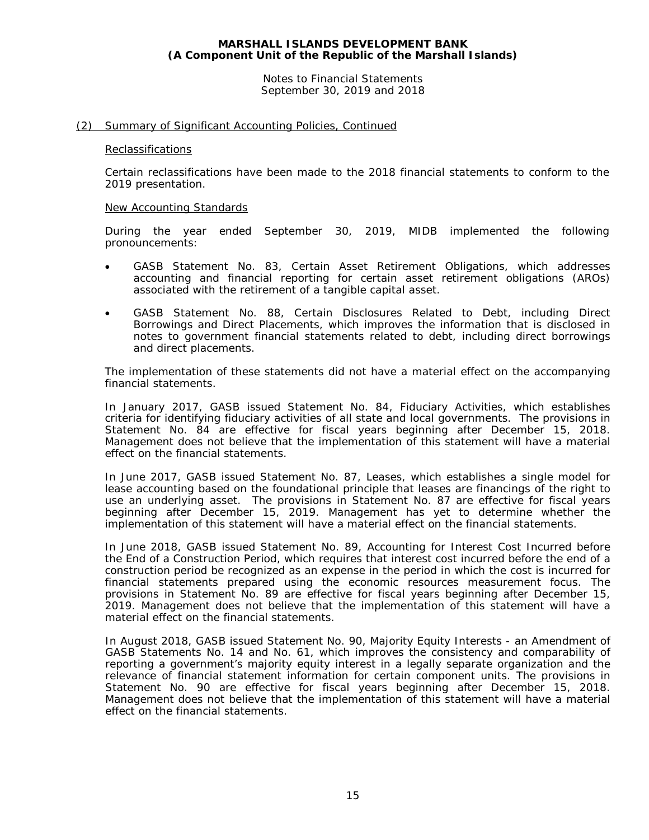Notes to Financial Statements September 30, 2019 and 2018

#### (2) Summary of Significant Accounting Policies, Continued

#### Reclassifications

Certain reclassifications have been made to the 2018 financial statements to conform to the 2019 presentation.

#### New Accounting Standards

During the year ended September 30, 2019, MIDB implemented the following pronouncements:

- GASB Statement No. 83, *Certain Asset Retirement Obligations*, which addresses accounting and financial reporting for certain asset retirement obligations (AROs) associated with the retirement of a tangible capital asset.
- GASB Statement No. 88, *Certain Disclosures Related to Debt, including Direct Borrowings and Direct Placements*, which improves the information that is disclosed in notes to government financial statements related to debt, including direct borrowings and direct placements.

The implementation of these statements did not have a material effect on the accompanying financial statements.

In January 2017, GASB issued Statement No. 84, *Fiduciary Activities*, which establishes criteria for identifying fiduciary activities of all state and local governments. The provisions in Statement No. 84 are effective for fiscal years beginning after December 15, 2018. Management does not believe that the implementation of this statement will have a material effect on the financial statements.

In June 2017, GASB issued Statement No. 87, *Leases*, which establishes a single model for lease accounting based on the foundational principle that leases are financings of the right to use an underlying asset. The provisions in Statement No. 87 are effective for fiscal years beginning after December 15, 2019. Management has yet to determine whether the implementation of this statement will have a material effect on the financial statements.

In June 2018, GASB issued Statement No. 89, *Accounting for Interest Cost Incurred before the End of a Construction Period*, which requires that interest cost incurred before the end of a construction period be recognized as an expense in the period in which the cost is incurred for financial statements prepared using the economic resources measurement focus. The provisions in Statement No. 89 are effective for fiscal years beginning after December 15, 2019. Management does not believe that the implementation of this statement will have a material effect on the financial statements.

In August 2018, GASB issued Statement No. 90, *Majority Equity Interests - an Amendment of GASB Statements No. 14 and No. 61,* which improves the consistency and comparability of reporting a government's majority equity interest in a legally separate organization and the relevance of financial statement information for certain component units. The provisions in Statement No. 90 are effective for fiscal years beginning after December 15, 2018. Management does not believe that the implementation of this statement will have a material effect on the financial statements.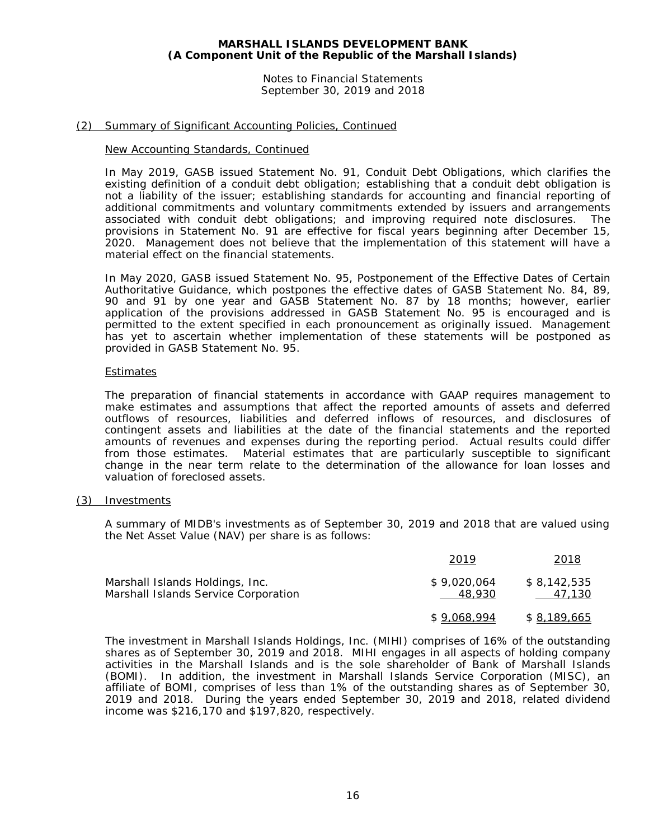Notes to Financial Statements September 30, 2019 and 2018

#### (2) Summary of Significant Accounting Policies, Continued

#### New Accounting Standards, Continued

In May 2019, GASB issued Statement No. 91, *Conduit Debt Obligations*, which clarifies the existing definition of a conduit debt obligation; establishing that a conduit debt obligation is not a liability of the issuer; establishing standards for accounting and financial reporting of additional commitments and voluntary commitments extended by issuers and arrangements associated with conduit debt obligations; and improving required note disclosures. The provisions in Statement No. 91 are effective for fiscal years beginning after December 15, 2020. Management does not believe that the implementation of this statement will have a material effect on the financial statements.

In May 2020, GASB issued Statement No. 95, *Postponement of the Effective Dates of Certain Authoritative Guidance*, which postpones the effective dates of GASB Statement No. 84, 89, 90 and 91 by one year and GASB Statement No. 87 by 18 months; however, earlier application of the provisions addressed in GASB Statement No. 95 is encouraged and is permitted to the extent specified in each pronouncement as originally issued. Management has yet to ascertain whether implementation of these statements will be postponed as provided in GASB Statement No. 95.

#### Estimates

The preparation of financial statements in accordance with GAAP requires management to make estimates and assumptions that affect the reported amounts of assets and deferred outflows of resources, liabilities and deferred inflows of resources, and disclosures of contingent assets and liabilities at the date of the financial statements and the reported amounts of revenues and expenses during the reporting period. Actual results could differ from those estimates. Material estimates that are particularly susceptible to significant change in the near term relate to the determination of the allowance for loan losses and valuation of foreclosed assets.

#### (3) Investments

A summary of MIDB's investments as of September 30, 2019 and 2018 that are valued using the Net Asset Value (NAV) per share is as follows:

|                                                                         | 2019                  | <u> 2018 </u>         |
|-------------------------------------------------------------------------|-----------------------|-----------------------|
| Marshall Islands Holdings, Inc.<br>Marshall Islands Service Corporation | \$9,020,064<br>48.930 | \$8.142.535<br>47,130 |
|                                                                         | \$9.068.994           | \$8,189,665           |

The investment in Marshall Islands Holdings, Inc. (MIHI) comprises of 16% of the outstanding shares as of September 30, 2019 and 2018. MIHI engages in all aspects of holding company activities in the Marshall Islands and is the sole shareholder of Bank of Marshall Islands (BOMI). In addition, the investment in Marshall Islands Service Corporation (MISC), an affiliate of BOMI, comprises of less than 1% of the outstanding shares as of September 30, 2019 and 2018. During the years ended September 30, 2019 and 2018, related dividend income was \$216,170 and \$197,820, respectively.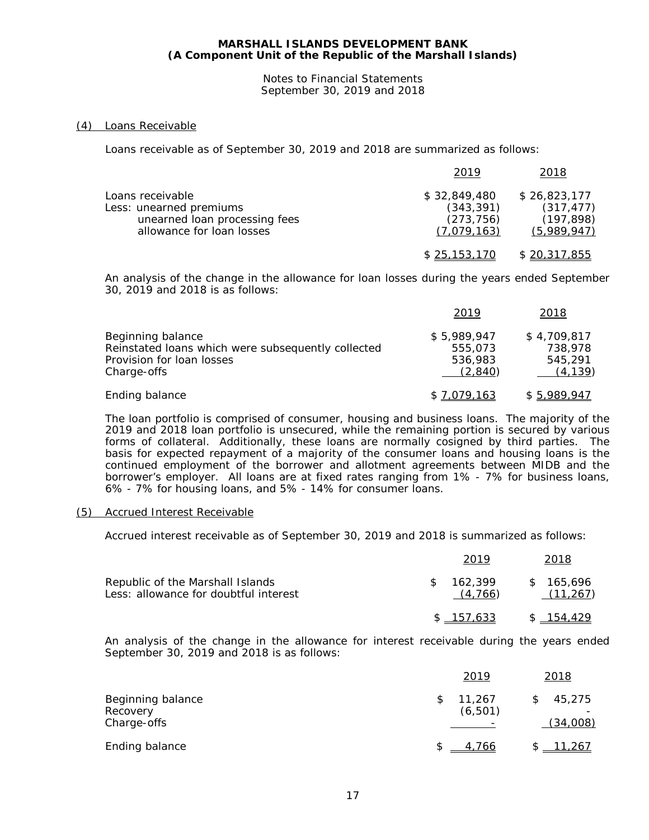Notes to Financial Statements September 30, 2019 and 2018

#### (4) Loans Receivable

Loans receivable as of September 30, 2019 and 2018 are summarized as follows:

|                               | 2019         | 2018         |
|-------------------------------|--------------|--------------|
| Loans receivable              | \$32.849.480 | \$26,823,177 |
| Less: unearned premiums       | (343, 391)   | (317, 477)   |
| unearned loan processing fees | (273, 756)   | (197, 898)   |
| allowance for loan losses     | (7,079,163)  | (5,989,947)  |
|                               | \$25,153,170 | \$20,317,855 |

An analysis of the change in the allowance for loan losses during the years ended September 30, 2019 and 2018 is as follows:

|                                                                                                                     | 2019                                         | 2018                                          |
|---------------------------------------------------------------------------------------------------------------------|----------------------------------------------|-----------------------------------------------|
| Beginning balance<br>Reinstated loans which were subsequently collected<br>Provision for loan losses<br>Charge-offs | \$5,989,947<br>555,073<br>536,983<br>(2,840) | \$4,709,817<br>738,978<br>545,291<br>(4, 139) |
| Ending balance                                                                                                      | \$ 7,079,163                                 | \$5,989,947                                   |

The loan portfolio is comprised of consumer, housing and business loans. The majority of the 2019 and 2018 loan portfolio is unsecured, while the remaining portion is secured by various forms of collateral. Additionally, these loans are normally cosigned by third parties. The basis for expected repayment of a majority of the consumer loans and housing loans is the continued employment of the borrower and allotment agreements between MIDB and the borrower's employer. All loans are at fixed rates ranging from 1% - 7% for business loans, 6% - 7% for housing loans, and 5% - 14% for consumer loans.

#### (5) Accrued Interest Receivable

Accrued interest receivable as of September 30, 2019 and 2018 is summarized as follows:

|                                                                           | 2019               | 2018                   |
|---------------------------------------------------------------------------|--------------------|------------------------|
| Republic of the Marshall Islands<br>Less: allowance for doubtful interest | 162.399<br>(4.766) | \$165,696<br>(11, 267) |
|                                                                           | \$ 157.633         | \$154.429              |

An analysis of the change in the allowance for interest receivable during the years ended September 30, 2019 and 2018 is as follows:

|                                              | 2019               | 2018               |
|----------------------------------------------|--------------------|--------------------|
| Beginning balance<br>Recovery<br>Charge-offs | 11,267<br>(6, 501) | 45,275<br>(34,008) |
| Ending balance                               | 4.766              | 11,267             |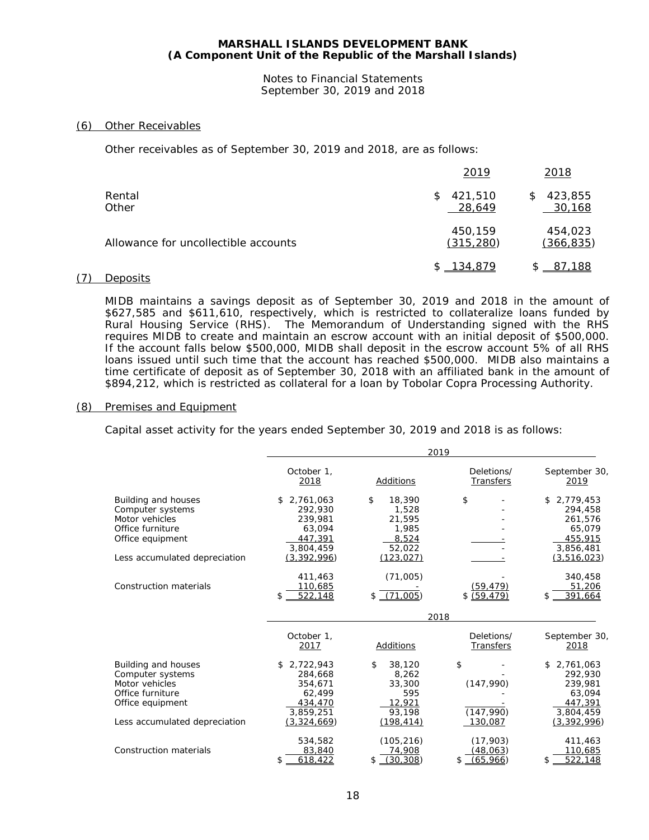Notes to Financial Statements September 30, 2019 and 2018

#### (6) Other Receivables

Other receivables as of September 30, 2019 and 2018, are as follows:

|                                      | 2019                    | 2018                    |
|--------------------------------------|-------------------------|-------------------------|
| Rental<br>Other                      | 421,510<br>\$<br>28,649 | 423,855<br>-S<br>30,168 |
| Allowance for uncollectible accounts | 450,159<br>(315, 280)   | 454,023<br>(366, 835)   |
| Deposits                             | \$ 134,879              | \$ 87,188               |

#### MIDB maintains a savings deposit as of September 30, 2019 and 2018 in the amount of \$627,585 and \$611,610, respectively, which is restricted to collateralize loans funded by Rural Housing Service (RHS). The Memorandum of Understanding signed with the RHS requires MIDB to create and maintain an escrow account with an initial deposit of \$500,000. If the account falls below \$500,000, MIDB shall deposit in the escrow account 5% of all RHS loans issued until such time that the account has reached \$500,000. MIDB also maintains a time certificate of deposit as of September 30, 2018 with an affiliated bank in the amount of \$894,212, which is restricted as collateral for a loan by Tobolar Copra Processing Authority.

#### (8) Premises and Equipment

Capital asset activity for the years ended September 30, 2019 and 2018 is as follows:

|                                                                                                                                    |                                                                                        |                                                                           | 2019                                          |                                                                                          |  |  |  |  |
|------------------------------------------------------------------------------------------------------------------------------------|----------------------------------------------------------------------------------------|---------------------------------------------------------------------------|-----------------------------------------------|------------------------------------------------------------------------------------------|--|--|--|--|
|                                                                                                                                    | October 1,<br>2018                                                                     | Additions                                                                 | Deletions/<br>Transfers                       | September 30,<br>2019                                                                    |  |  |  |  |
| Building and houses<br>Computer systems<br>Motor vehicles<br>Office furniture<br>Office equipment<br>Less accumulated depreciation | 2,761,063<br>\$<br>292,930<br>239.981<br>63.094<br>447,391<br>3,804,459<br>(3,392,996) | \$<br>18,390<br>1,528<br>21,595<br>1,985<br>8,524<br>52,022<br>(123, 027) | \$                                            | 2,779,453<br>\$<br>294,458<br>261,576<br>65,079<br>455,915<br>3,856,481<br>(3, 516, 023) |  |  |  |  |
| <b>Construction materials</b>                                                                                                      | 411,463<br>110,685<br>522,148<br>\$                                                    | (71,005)<br>\$(71.005)                                                    | (59, 479)<br>\$ (59, 479)                     | 340,458<br>51,206<br>391.664<br>\$                                                       |  |  |  |  |
|                                                                                                                                    | 2018                                                                                   |                                                                           |                                               |                                                                                          |  |  |  |  |
|                                                                                                                                    | October 1.<br>2017                                                                     | Additions                                                                 | Deletions/<br>Transfers                       | September 30,<br>2018                                                                    |  |  |  |  |
| Building and houses<br>Computer systems<br>Motor vehicles<br>Office furniture<br>Office equipment<br>Less accumulated depreciation | \$2,722,943<br>284,668<br>354,671<br>62.499<br>434,470<br>3,859,251<br>(3,324,669)     | \$<br>38,120<br>8,262<br>33,300<br>595<br>12,921<br>93,198<br>(198, 414)  | \$<br>(147, 990)<br>(147,990)<br>130,087      | 2,761,063<br>\$<br>292,930<br>239,981<br>63,094<br>447,391<br>3,804,459<br>(3,392,996)   |  |  |  |  |
| <b>Construction materials</b>                                                                                                      | 534,582<br>83,840<br>618,422<br>\$                                                     | (105, 216)<br>74,908<br>(30.308)<br>\$                                    | (17,903)<br>(48,063)<br><u>(65,966)</u><br>\$ | 411,463<br>110,685<br>522,148<br>\$                                                      |  |  |  |  |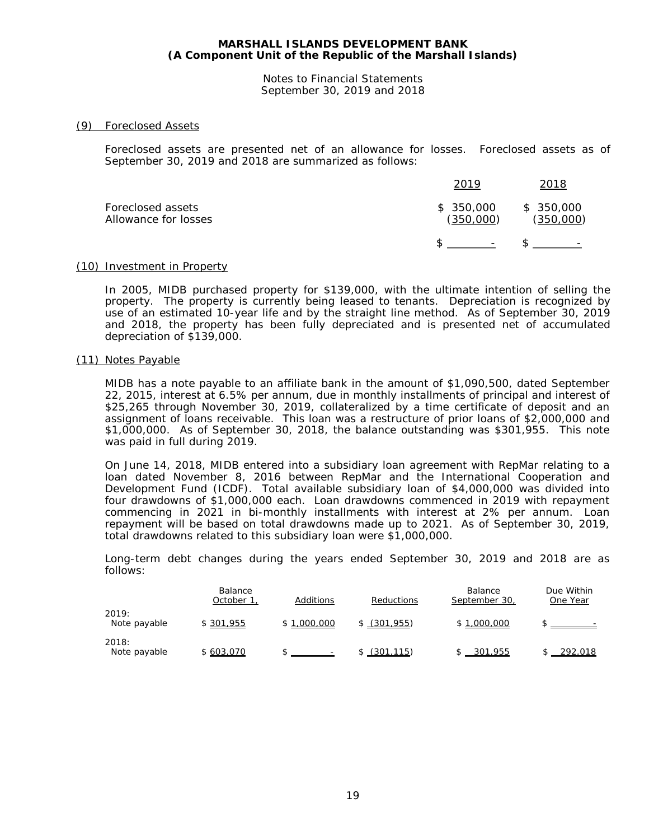Notes to Financial Statements September 30, 2019 and 2018

#### (9) Foreclosed Assets

Foreclosed assets are presented net of an allowance for losses. Foreclosed assets as of September 30, 2019 and 2018 are summarized as follows:

|                                           | 2019                   | 2018                     |  |  |
|-------------------------------------------|------------------------|--------------------------|--|--|
| Foreclosed assets<br>Allowance for losses | \$350,000<br>(350,000) | \$350,000<br>(350,000)   |  |  |
|                                           |                        | $\overline{\phantom{0}}$ |  |  |

#### (10) Investment in Property

In 2005, MIDB purchased property for \$139,000, with the ultimate intention of selling the property. The property is currently being leased to tenants. Depreciation is recognized by use of an estimated 10-year life and by the straight line method. As of September 30, 2019 and 2018, the property has been fully depreciated and is presented net of accumulated depreciation of \$139,000.

#### (11) Notes Payable

MIDB has a note payable to an affiliate bank in the amount of \$1,090,500, dated September 22, 2015, interest at 6.5% per annum, due in monthly installments of principal and interest of \$25,265 through November 30, 2019, collateralized by a time certificate of deposit and an assignment of loans receivable. This loan was a restructure of prior loans of \$2,000,000 and \$1,000,000. As of September 30, 2018, the balance outstanding was \$301,955. This note was paid in full during 2019.

On June 14, 2018, MIDB entered into a subsidiary loan agreement with RepMar relating to a loan dated November 8, 2016 between RepMar and the International Cooperation and Development Fund (ICDF). Total available subsidiary loan of \$4,000,000 was divided into four drawdowns of \$1,000,000 each. Loan drawdowns commenced in 2019 with repayment commencing in 2021 in bi-monthly installments with interest at 2% per annum. Loan repayment will be based on total drawdowns made up to 2021. As of September 30, 2019, total drawdowns related to this subsidiary loan were \$1,000,000.

Long-term debt changes during the years ended September 30, 2019 and 2018 are as follows:

|                       | Balance<br>October 1 | Additions   | Reductions      | Balance<br>September 30, | Due Within<br>One Year |
|-----------------------|----------------------|-------------|-----------------|--------------------------|------------------------|
| 2019:<br>Note payable | \$301.955            | \$1,000,000 | $$^{(301.955)}$ | \$1,000,000              |                        |
| 2018:<br>Note payable | \$603,070            |             | \$(301, 115)    | <u>301.955</u>           | 292.018                |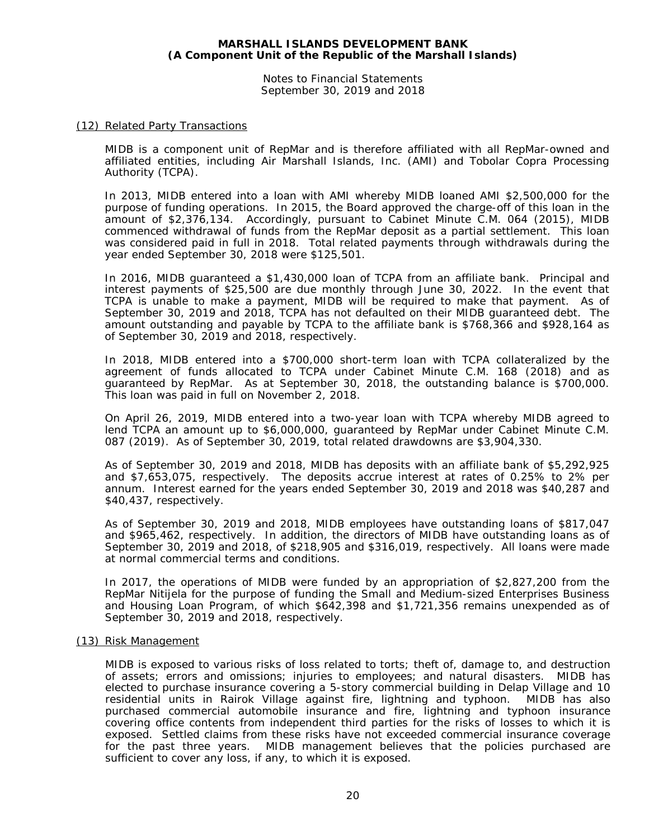Notes to Financial Statements September 30, 2019 and 2018

#### (12) Related Party Transactions

MIDB is a component unit of RepMar and is therefore affiliated with all RepMar-owned and affiliated entities, including Air Marshall Islands, Inc. (AMI) and Tobolar Copra Processing Authority (TCPA).

In 2013, MIDB entered into a loan with AMI whereby MIDB loaned AMI \$2,500,000 for the purpose of funding operations. In 2015, the Board approved the charge-off of this loan in the amount of \$2,376,134. Accordingly, pursuant to Cabinet Minute C.M. 064 (2015), MIDB commenced withdrawal of funds from the RepMar deposit as a partial settlement. This loan was considered paid in full in 2018. Total related payments through withdrawals during the year ended September 30, 2018 were \$125,501.

In 2016, MIDB guaranteed a \$1,430,000 loan of TCPA from an affiliate bank. Principal and interest payments of \$25,500 are due monthly through June 30, 2022. In the event that TCPA is unable to make a payment, MIDB will be required to make that payment. As of September 30, 2019 and 2018, TCPA has not defaulted on their MIDB guaranteed debt. The amount outstanding and payable by TCPA to the affiliate bank is \$768,366 and \$928,164 as of September 30, 2019 and 2018, respectively.

In 2018, MIDB entered into a \$700,000 short-term loan with TCPA collateralized by the agreement of funds allocated to TCPA under Cabinet Minute C.M. 168 (2018) and as guaranteed by RepMar. As at September 30, 2018, the outstanding balance is \$700,000. This loan was paid in full on November 2, 2018.

On April 26, 2019, MIDB entered into a two-year loan with TCPA whereby MIDB agreed to lend TCPA an amount up to \$6,000,000, guaranteed by RepMar under Cabinet Minute C.M. 087 (2019). As of September 30, 2019, total related drawdowns are \$3,904,330.

As of September 30, 2019 and 2018, MIDB has deposits with an affiliate bank of \$5,292,925 and \$7,653,075, respectively. The deposits accrue interest at rates of 0.25% to 2% per annum. Interest earned for the years ended September 30, 2019 and 2018 was \$40,287 and \$40,437, respectively.

As of September 30, 2019 and 2018, MIDB employees have outstanding loans of \$817,047 and \$965,462, respectively. In addition, the directors of MIDB have outstanding loans as of September 30, 2019 and 2018, of \$218,905 and \$316,019, respectively. All loans were made at normal commercial terms and conditions.

In 2017, the operations of MIDB were funded by an appropriation of \$2,827,200 from the RepMar Nitijela for the purpose of funding the Small and Medium-sized Enterprises Business and Housing Loan Program, of which \$642,398 and \$1,721,356 remains unexpended as of September 30, 2019 and 2018, respectively.

#### (13) Risk Management

MIDB is exposed to various risks of loss related to torts; theft of, damage to, and destruction of assets; errors and omissions; injuries to employees; and natural disasters. MIDB has elected to purchase insurance covering a 5-story commercial building in Delap Village and 10 residential units in Rairok Village against fire, lightning and typhoon. MIDB has also purchased commercial automobile insurance and fire, lightning and typhoon insurance covering office contents from independent third parties for the risks of losses to which it is exposed. Settled claims from these risks have not exceeded commercial insurance coverage for the past three years. MIDB management believes that the policies purchased are sufficient to cover any loss, if any, to which it is exposed.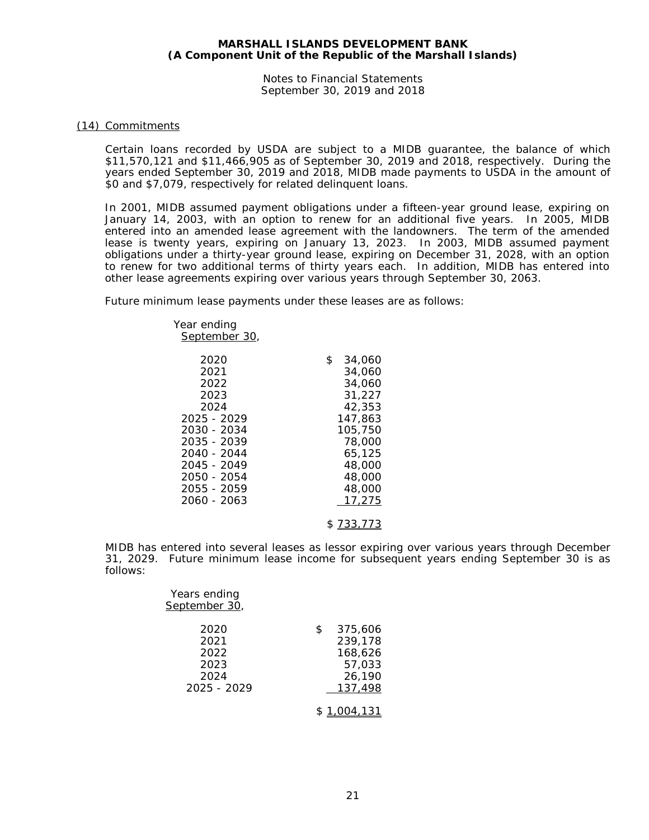Notes to Financial Statements September 30, 2019 and 2018

#### (14) Commitments

Certain loans recorded by USDA are subject to a MIDB guarantee, the balance of which \$11,570,121 and \$11,466,905 as of September 30, 2019 and 2018, respectively. During the years ended September 30, 2019 and 2018, MIDB made payments to USDA in the amount of \$0 and \$7,079, respectively for related delinquent loans.

In 2001, MIDB assumed payment obligations under a fifteen-year ground lease, expiring on January 14, 2003, with an option to renew for an additional five years. In 2005, MIDB entered into an amended lease agreement with the landowners. The term of the amended lease is twenty years, expiring on January 13, 2023. In 2003, MIDB assumed payment obligations under a thirty-year ground lease, expiring on December 31, 2028, with an option to renew for two additional terms of thirty years each. In addition, MIDB has entered into other lease agreements expiring over various years through September 30, 2063.

Future minimum lease payments under these leases are as follows:

| Year ending<br>September 30,                                                                                                                                   |                                                                                                                                        |
|----------------------------------------------------------------------------------------------------------------------------------------------------------------|----------------------------------------------------------------------------------------------------------------------------------------|
| 2020<br>2021<br>2022<br>2023<br>2024<br>2025 - 2029<br>2030 - 2034<br>2035 - 2039<br>2040 - 2044<br>2045 - 2049<br>2050 - 2054<br>$2055 - 2059$<br>2060 - 2063 | \$<br>34,060<br>34,060<br>34,060<br>31,227<br>42,353<br>147,863<br>105,750<br>78,000<br>65,125<br>48,000<br>48,000<br>48,000<br>17,275 |

\$ 733,773

MIDB has entered into several leases as lessor expiring over various years through December 31, 2029. Future minimum lease income for subsequent years ending September 30 is as follows:

| Years ending<br>September 30, |               |
|-------------------------------|---------------|
| 2020                          | \$<br>375,606 |
| 2021                          | 239,178       |
| 2022                          | 168,626       |
| 2023                          | 57,033        |
| 2024                          | 26,190        |
| 2025 - 2029                   | 137,498       |
|                               |               |
|                               | \$ 1.004.131  |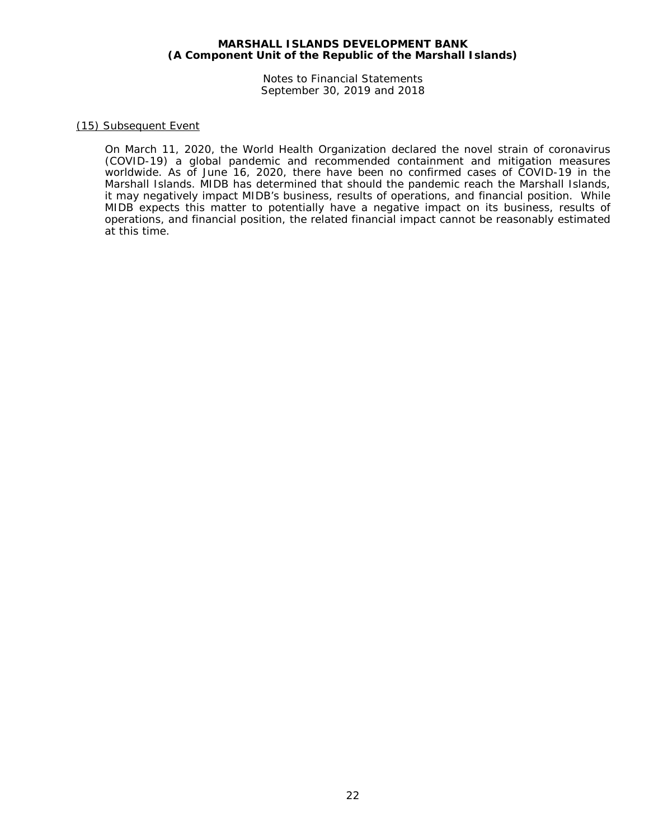Notes to Financial Statements September 30, 2019 and 2018

#### (15) Subsequent Event

On March 11, 2020, the World Health Organization declared the novel strain of coronavirus (COVID-19) a global pandemic and recommended containment and mitigation measures worldwide. As of June 16, 2020, there have been no confirmed cases of COVID-19 in the Marshall Islands. MIDB has determined that should the pandemic reach the Marshall Islands, it may negatively impact MIDB's business, results of operations, and financial position. While MIDB expects this matter to potentially have a negative impact on its business, results of operations, and financial position, the related financial impact cannot be reasonably estimated at this time.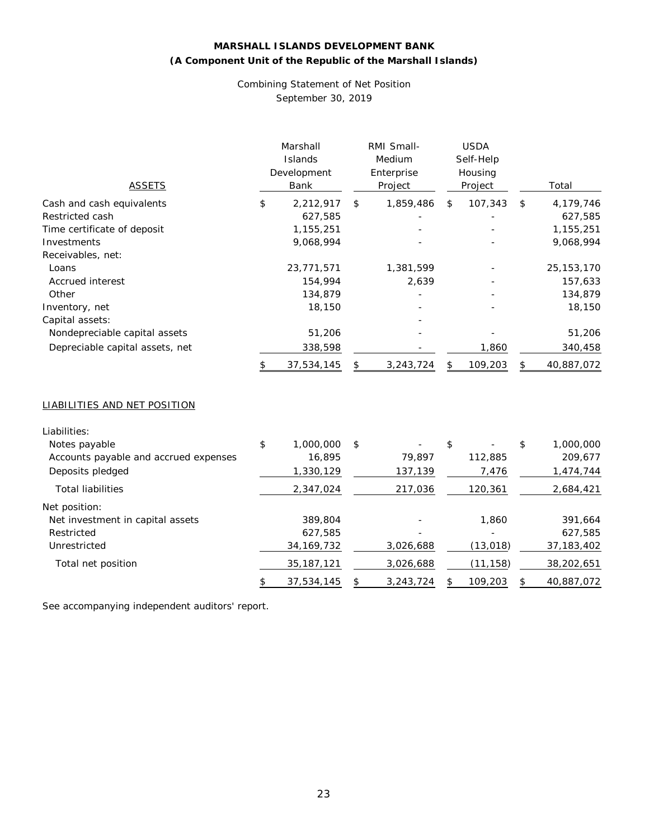#### Combining Statement of Net Position September 30, 2019

| <b>ASSETS</b>                         |    | Marshall<br>Islands<br>Development<br><b>Bank</b> |    | RMI Small-<br>Medium<br>Enterprise<br>Project |    | <b>USDA</b><br>Self-Help<br>Housing<br>Project | Total            |  |
|---------------------------------------|----|---------------------------------------------------|----|-----------------------------------------------|----|------------------------------------------------|------------------|--|
| Cash and cash equivalents             | \$ | 2,212,917                                         | \$ | 1,859,486                                     | \$ | 107,343                                        | \$<br>4,179,746  |  |
| Restricted cash                       |    | 627,585                                           |    |                                               |    |                                                | 627,585          |  |
| Time certificate of deposit           |    | 1,155,251                                         |    |                                               |    |                                                | 1,155,251        |  |
| Investments                           |    | 9,068,994                                         |    |                                               |    |                                                | 9,068,994        |  |
| Receivables, net:                     |    |                                                   |    |                                               |    |                                                |                  |  |
| Loans                                 |    | 23,771,571                                        |    | 1,381,599                                     |    |                                                | 25, 153, 170     |  |
| Accrued interest                      |    | 154,994                                           |    | 2,639                                         |    |                                                | 157,633          |  |
| Other                                 |    | 134,879                                           |    |                                               |    |                                                | 134,879          |  |
| Inventory, net                        |    | 18,150                                            |    |                                               |    |                                                | 18,150           |  |
| Capital assets:                       |    |                                                   |    |                                               |    |                                                |                  |  |
| Nondepreciable capital assets         |    | 51,206                                            |    |                                               |    |                                                | 51,206           |  |
| Depreciable capital assets, net       |    | 338,598                                           |    |                                               |    | 1,860                                          | 340,458          |  |
|                                       | \$ | 37,534,145                                        | \$ | 3,243,724                                     | \$ | 109,203                                        | \$<br>40,887,072 |  |
| <b>LIABILITIES AND NET POSITION</b>   |    |                                                   |    |                                               |    |                                                |                  |  |
| Liabilities:                          |    |                                                   |    |                                               |    |                                                |                  |  |
| Notes payable                         | \$ | 1,000,000                                         | \$ |                                               | \$ |                                                | \$<br>1,000,000  |  |
| Accounts payable and accrued expenses |    | 16,895                                            |    | 79,897                                        |    | 112,885                                        | 209,677          |  |
| Deposits pledged                      |    | 1,330,129                                         |    | 137,139                                       |    | 7,476                                          | 1,474,744        |  |
| <b>Total liabilities</b>              |    | 2,347,024                                         |    | 217,036                                       |    | 120,361                                        | 2,684,421        |  |
| Net position:                         |    |                                                   |    |                                               |    |                                                |                  |  |
| Net investment in capital assets      |    | 389,804                                           |    |                                               |    | 1,860                                          | 391,664          |  |
| Restricted                            |    | 627,585                                           |    |                                               |    |                                                | 627,585          |  |
| Unrestricted                          |    | 34, 169, 732                                      |    | 3,026,688                                     |    | (13, 018)                                      | 37, 183, 402     |  |
| Total net position                    |    | 35, 187, 121                                      |    | 3,026,688                                     |    | (11, 158)                                      | 38,202,651       |  |
|                                       | \$ | 37,534,145                                        | \$ | 3,243,724                                     | \$ | 109,203                                        | \$<br>40,887,072 |  |

See accompanying independent auditors' report.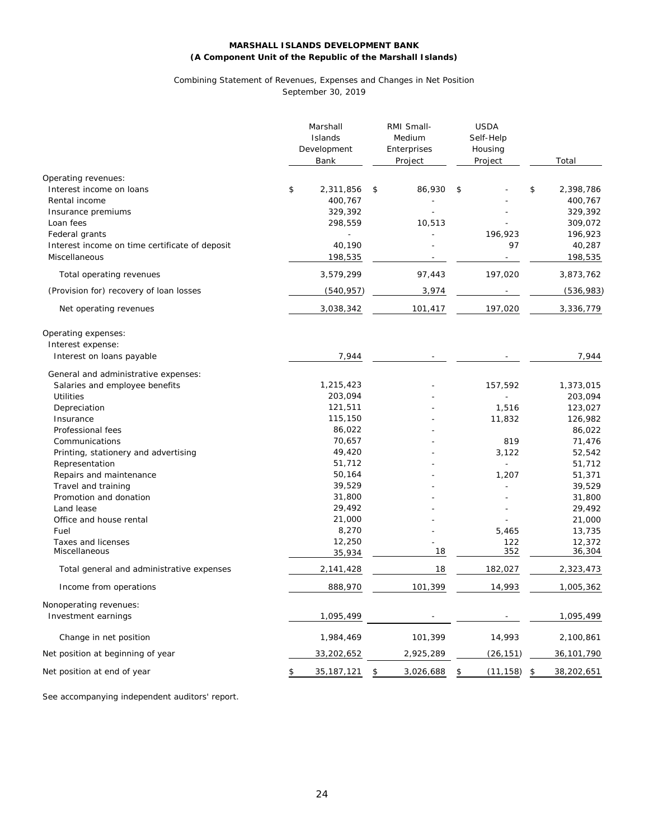#### Combining Statement of Revenues, Expenses and Changes in Net Position September 30, 2019

|                                                | Marshall<br>Islands<br>Development<br>Bank | RMI Small-<br>Medium<br>Enterprises<br>Project | <b>USDA</b><br>Self-Help<br>Housing<br>Project | Total           |
|------------------------------------------------|--------------------------------------------|------------------------------------------------|------------------------------------------------|-----------------|
| Operating revenues:                            |                                            |                                                |                                                |                 |
| Interest income on loans                       | \$<br>2,311,856                            | \$<br>86,930                                   | \$                                             | \$<br>2,398,786 |
| Rental income                                  | 400,767                                    |                                                |                                                | 400,767         |
| Insurance premiums                             | 329,392                                    |                                                |                                                | 329,392         |
| Loan fees                                      | 298,559                                    | 10,513                                         |                                                | 309,072         |
| Federal grants                                 |                                            |                                                | 196,923                                        | 196,923         |
| Interest income on time certificate of deposit | 40,190                                     |                                                | 97                                             | 40,287          |
| Miscellaneous                                  | 198,535                                    |                                                |                                                | 198,535         |
| Total operating revenues                       | 3,579,299                                  | 97,443                                         | 197,020                                        | 3,873,762       |
| (Provision for) recovery of loan losses        | (540, 957)                                 | 3,974                                          |                                                | (536, 983)      |
| Net operating revenues                         | 3,038,342                                  | 101,417                                        | 197,020                                        | 3,336,779       |
| Operating expenses:                            |                                            |                                                |                                                |                 |
| Interest expense:                              |                                            |                                                |                                                |                 |
| Interest on loans payable                      | 7,944                                      |                                                |                                                | 7,944           |
| General and administrative expenses:           |                                            |                                                |                                                |                 |
| Salaries and employee benefits                 | 1,215,423                                  |                                                | 157,592                                        | 1,373,015       |
| <b>Utilities</b>                               | 203,094                                    |                                                |                                                | 203,094         |
| Depreciation                                   | 121,511                                    |                                                | 1,516                                          | 123,027         |
| Insurance                                      | 115,150                                    |                                                | 11,832                                         | 126,982         |
| Professional fees                              | 86,022                                     |                                                |                                                | 86,022          |
| Communications                                 | 70,657                                     |                                                | 819                                            | 71,476          |
| Printing, stationery and advertising           | 49,420                                     |                                                | 3,122                                          | 52,542          |
| Representation                                 | 51,712                                     |                                                |                                                | 51,712          |
| Repairs and maintenance                        | 50,164                                     |                                                | 1,207                                          | 51,371          |
| Travel and training                            | 39,529                                     |                                                |                                                | 39,529          |
| Promotion and donation                         | 31,800                                     |                                                |                                                | 31,800          |
| Land lease                                     | 29,492                                     |                                                |                                                | 29,492          |
| Office and house rental                        | 21,000                                     |                                                |                                                | 21,000          |
| Fuel                                           | 8,270                                      |                                                | 5,465                                          | 13,735          |
| Taxes and licenses                             | 12,250                                     |                                                | 122                                            | 12,372          |
| Miscellaneous                                  | 35,934                                     | 18                                             | 352                                            | 36,304          |
| Total general and administrative expenses      | 2,141,428                                  | 18                                             | 182,027                                        | 2,323,473       |
| Income from operations                         | 888,970                                    | 101,399                                        | 14,993                                         | 1,005,362       |
| Nonoperating revenues:                         |                                            |                                                |                                                |                 |
| Investment earnings                            | 1,095,499                                  |                                                |                                                | 1,095,499       |
| Change in net position                         | 1,984,469                                  | 101,399                                        | 14,993                                         | 2,100,861       |
| Net position at beginning of year              | 33,202,652                                 | 2,925,289                                      | (26, 151)                                      | 36,101,790      |
| Net position at end of year                    | \$<br>35, 187, 121                         | \$<br>3,026,688                                | \$<br>$(11, 158)$ \$                           | 38,202,651      |

See accompanying independent auditors' report.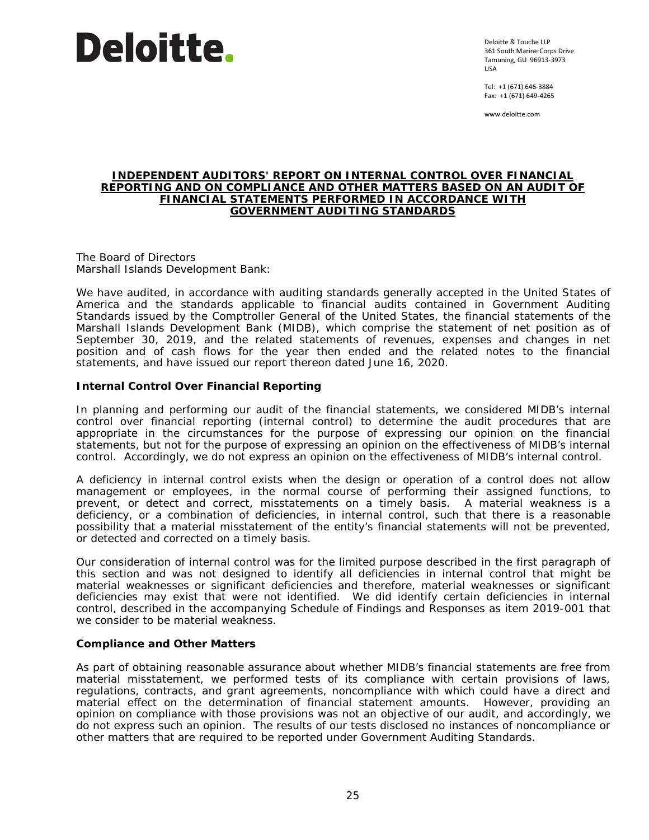# **Deloitte.**

Deloitte & Touche LLP 361 South Marine Corps Drive Tamuning, GU 96913-3973 USA

Tel: +1 (671) 646-3884 Fax: +1 (671) 649-4265

www.deloitte.com

#### **INDEPENDENT AUDITORS' REPORT ON INTERNAL CONTROL OVER FINANCIAL REPORTING AND ON COMPLIANCE AND OTHER MATTERS BASED ON AN AUDIT OF FINANCIAL STATEMENTS PERFORMED IN ACCORDANCE WITH**  *GOVERNMENT AUDITING STANDARDS*

The Board of Directors Marshall Islands Development Bank:

We have audited, in accordance with auditing standards generally accepted in the United States of America and the standards applicable to financial audits contained in *Government Auditing Standards* issued by the Comptroller General of the United States, the financial statements of the Marshall Islands Development Bank (MIDB), which comprise the statement of net position as of September 30, 2019, and the related statements of revenues, expenses and changes in net position and of cash flows for the year then ended and the related notes to the financial statements, and have issued our report thereon dated June 16, 2020.

#### **Internal Control Over Financial Reporting**

In planning and performing our audit of the financial statements, we considered MIDB's internal control over financial reporting (internal control) to determine the audit procedures that are appropriate in the circumstances for the purpose of expressing our opinion on the financial statements, but not for the purpose of expressing an opinion on the effectiveness of MIDB's internal control. Accordingly, we do not express an opinion on the effectiveness of MIDB's internal control.

A *deficiency in internal control* exists when the design or operation of a control does not allow management or employees, in the normal course of performing their assigned functions, to prevent, or detect and correct, misstatements on a timely basis. A *material weakness* is a deficiency, or a combination of deficiencies, in internal control, such that there is a reasonable possibility that a material misstatement of the entity's financial statements will not be prevented, or detected and corrected on a timely basis.

Our consideration of internal control was for the limited purpose described in the first paragraph of this section and was not designed to identify all deficiencies in internal control that might be material weaknesses or significant deficiencies and therefore, material weaknesses or significant deficiencies may exist that were not identified. We did identify certain deficiencies in internal control, described in the accompanying Schedule of Findings and Responses as item 2019-001 that we consider to be material weakness.

#### **Compliance and Other Matters**

As part of obtaining reasonable assurance about whether MIDB's financial statements are free from material misstatement, we performed tests of its compliance with certain provisions of laws, regulations, contracts, and grant agreements, noncompliance with which could have a direct and material effect on the determination of financial statement amounts. However, providing an opinion on compliance with those provisions was not an objective of our audit, and accordingly, we do not express such an opinion. The results of our tests disclosed no instances of noncompliance or other matters that are required to be reported under *Government Auditing Standards*.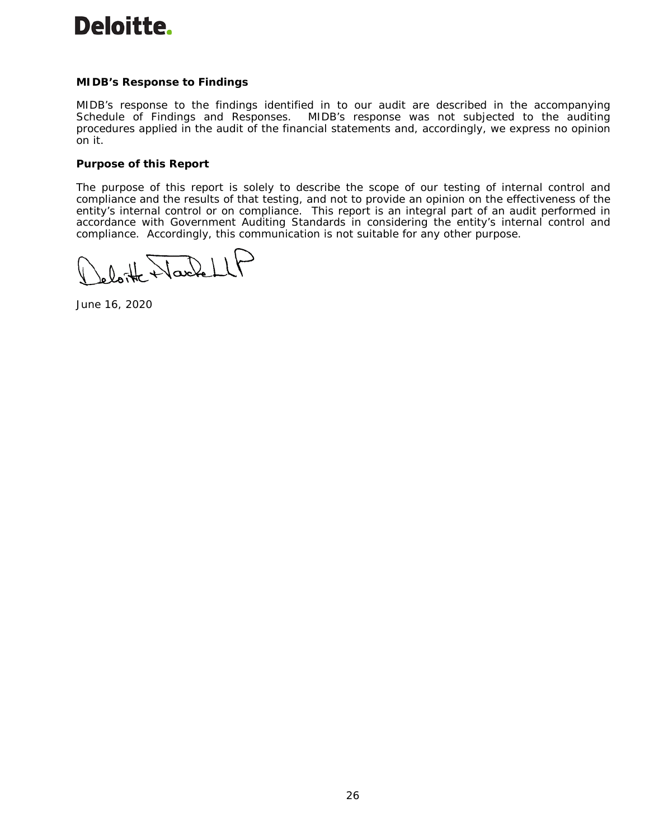## Deloitte.

#### **MIDB's Response to Findings**

MIDB's response to the findings identified in to our audit are described in the accompanying Schedule of Findings and Responses. MIDB's response was not subjected to the auditing procedures applied in the audit of the financial statements and, accordingly, we express no opinion on it.

#### **Purpose of this Report**

The purpose of this report is solely to describe the scope of our testing of internal control and compliance and the results of that testing, and not to provide an opinion on the effectiveness of the entity's internal control or on compliance. This report is an integral part of an audit performed in accordance with *Government Auditing Standards* in considering the entity's internal control and compliance. Accordingly, this communication is not suitable for any other purpose.

Harlel

June 16, 2020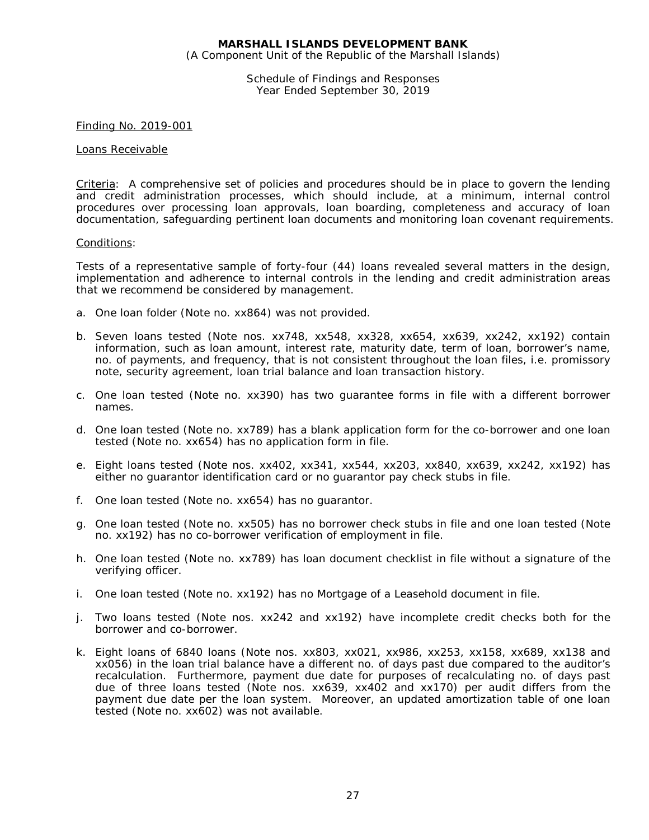Schedule of Findings and Responses Year Ended September 30, 2019

#### Finding No. 2019-001

#### Loans Receivable

Criteria: A comprehensive set of policies and procedures should be in place to govern the lending and credit administration processes, which should include, at a minimum, internal control procedures over processing loan approvals, loan boarding, completeness and accuracy of loan documentation, safeguarding pertinent loan documents and monitoring loan covenant requirements.

#### Conditions:

Tests of a representative sample of forty-four (44) loans revealed several matters in the design, implementation and adherence to internal controls in the lending and credit administration areas that we recommend be considered by management.

- a. One loan folder (Note no. xx864) was not provided.
- b. Seven loans tested (Note nos. xx748, xx548, xx328, xx654, xx639, xx242, xx192) contain information, such as loan amount, interest rate, maturity date, term of loan, borrower's name, no. of payments, and frequency, that is not consistent throughout the loan files, i.e. promissory note, security agreement, loan trial balance and loan transaction history.
- c. One loan tested (Note no. xx390) has two guarantee forms in file with a different borrower names.
- d. One loan tested (Note no. xx789) has a blank application form for the co-borrower and one loan tested (Note no. xx654) has no application form in file.
- e. Eight loans tested (Note nos. xx402, xx341, xx544, xx203, xx840, xx639, xx242, xx192) has either no guarantor identification card or no guarantor pay check stubs in file.
- f. One loan tested (Note no. xx654) has no guarantor.
- g. One loan tested (Note no. xx505) has no borrower check stubs in file and one loan tested (Note no. xx192) has no co-borrower verification of employment in file.
- h. One loan tested (Note no. xx789) has loan document checklist in file without a signature of the verifying officer.
- i. One loan tested (Note no. xx192) has no Mortgage of a Leasehold document in file.
- j. Two loans tested (Note nos. xx242 and xx192) have incomplete credit checks both for the borrower and co-borrower.
- k. Eight loans of 6840 loans (Note nos. xx803, xx021, xx986, xx253, xx158, xx689, xx138 and xx056) in the loan trial balance have a different no. of days past due compared to the auditor's recalculation. Furthermore, payment due date for purposes of recalculating no. of days past due of three loans tested (Note nos. xx639, xx402 and xx170) per audit differs from the payment due date per the loan system. Moreover, an updated amortization table of one loan tested (Note no. xx602) was not available.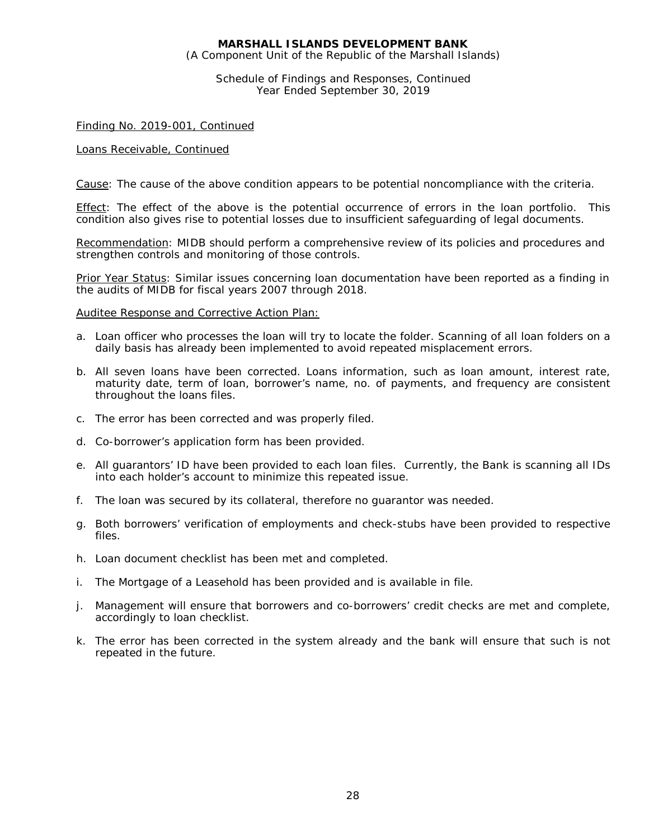### **MARSHALL ISLANDS DEVELOPMENT BANK**

(A Component Unit of the Republic of the Marshall Islands)

Schedule of Findings and Responses, Continued Year Ended September 30, 2019

#### Finding No. 2019-001, Continued

#### Loans Receivable, Continued

Cause: The cause of the above condition appears to be potential noncompliance with the criteria.

Effect: The effect of the above is the potential occurrence of errors in the loan portfolio. This condition also gives rise to potential losses due to insufficient safeguarding of legal documents.

Recommendation: MIDB should perform a comprehensive review of its policies and procedures and strengthen controls and monitoring of those controls.

Prior Year Status: Similar issues concerning loan documentation have been reported as a finding in the audits of MIDB for fiscal years 2007 through 2018.

Auditee Response and Corrective Action Plan:

- a. Loan officer who processes the loan will try to locate the folder. Scanning of all loan folders on a daily basis has already been implemented to avoid repeated misplacement errors.
- b. All seven loans have been corrected. Loans information, such as loan amount, interest rate, maturity date, term of loan, borrower's name, no. of payments, and frequency are consistent throughout the loans files.
- c. The error has been corrected and was properly filed.
- d. Co-borrower's application form has been provided.
- e. All guarantors' ID have been provided to each loan files. Currently, the Bank is scanning all IDs into each holder's account to minimize this repeated issue.
- f. The loan was secured by its collateral, therefore no guarantor was needed.
- g. Both borrowers' verification of employments and check-stubs have been provided to respective files.
- h. Loan document checklist has been met and completed.
- i. The Mortgage of a Leasehold has been provided and is available in file.
- j. Management will ensure that borrowers and co-borrowers' credit checks are met and complete, accordingly to loan checklist.
- k. The error has been corrected in the system already and the bank will ensure that such is not repeated in the future.